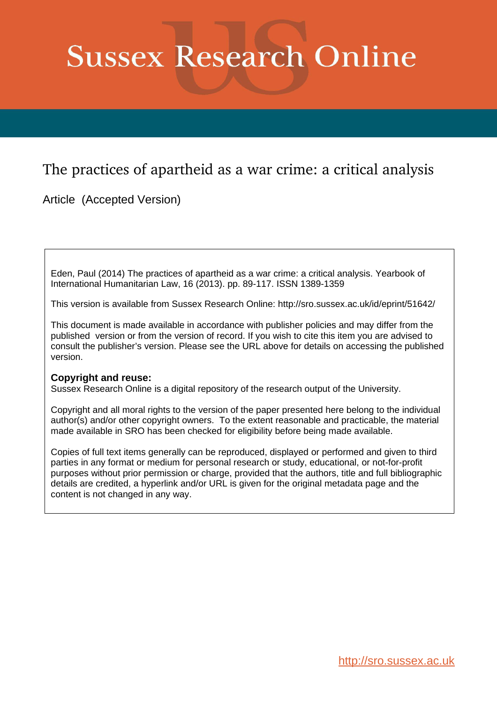# **Sussex Research Online**

## The practices of apartheid as a war crime: a critical analysis

Article (Accepted Version)

Eden, Paul (2014) The practices of apartheid as a war crime: a critical analysis. Yearbook of International Humanitarian Law, 16 (2013). pp. 89-117. ISSN 1389-1359

This version is available from Sussex Research Online: http://sro.sussex.ac.uk/id/eprint/51642/

This document is made available in accordance with publisher policies and may differ from the published version or from the version of record. If you wish to cite this item you are advised to consult the publisher's version. Please see the URL above for details on accessing the published version.

## **Copyright and reuse:**

Sussex Research Online is a digital repository of the research output of the University.

Copyright and all moral rights to the version of the paper presented here belong to the individual author(s) and/or other copyright owners. To the extent reasonable and practicable, the material made available in SRO has been checked for eligibility before being made available.

Copies of full text items generally can be reproduced, displayed or performed and given to third parties in any format or medium for personal research or study, educational, or not-for-profit purposes without prior permission or charge, provided that the authors, title and full bibliographic details are credited, a hyperlink and/or URL is given for the original metadata page and the content is not changed in any way.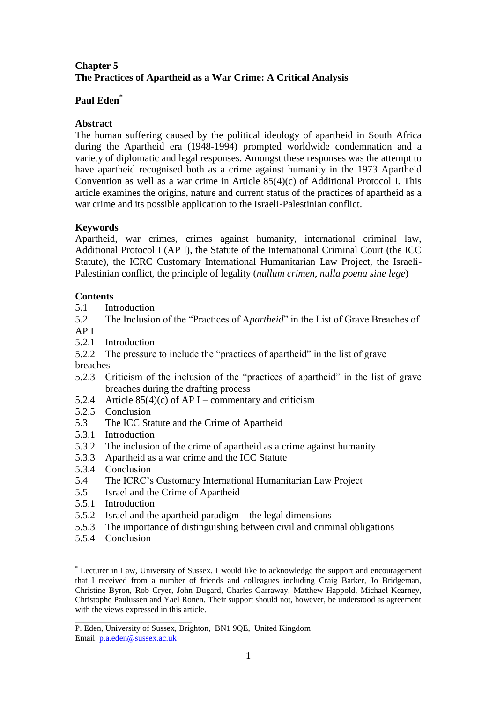## **Chapter 5 The Practices of Apartheid as a War Crime: A Critical Analysis**

## **Paul Eden\***

## **Abstract**

The human suffering caused by the political ideology of apartheid in South Africa during the Apartheid era (1948-1994) prompted worldwide condemnation and a variety of diplomatic and legal responses. Amongst these responses was the attempt to have apartheid recognised both as a crime against humanity in the 1973 Apartheid Convention as well as a war crime in Article 85(4)(c) of Additional Protocol I. This article examines the origins, nature and current status of the practices of apartheid as a war crime and its possible application to the Israeli-Palestinian conflict.

## **Keywords**

Apartheid, war crimes, crimes against humanity, international criminal law, Additional Protocol I (AP I), the Statute of the International Criminal Court (the ICC Statute), the ICRC Customary International Humanitarian Law Project, the Israeli-Palestinian conflict, the principle of legality (*nullum crimen, nulla poena sine lege*)

## **Contents**

5.1 Introduction

5.2 The Inclusion of the "Practices of A*partheid*" in the List of Grave Breaches of AP I

- 5.2.1 Introduction
- 5.2.2 The pressure to include the "practices of apartheid" in the list of grave breaches
- 5.2.3 Criticism of the inclusion of the "practices of apartheid" in the list of grave breaches during the drafting process
- 5.2.4 Article  $85(4)(c)$  of AP I commentary and criticism
- 5.2.5 Conclusion
- 5.3 The ICC Statute and the Crime of Apartheid
- 5.3.1 Introduction
- 5.3.2 The inclusion of the crime of apartheid as a crime against humanity
- 5.3.3 Apartheid as a war crime and the ICC Statute
- 5.3.4 Conclusion
- 5.4 The ICRC's Customary International Humanitarian Law Project
- 5.5 Israel and the Crime of Apartheid
- 5.5.1 Introduction
- 5.5.2 Israel and the apartheid paradigm the legal dimensions
- 5.5.3 The importance of distinguishing between civil and criminal obligations
- 5.5.4 Conclusion

<sup>1</sup> \* Lecturer in Law, University of Sussex. I would like to acknowledge the support and encouragement that I received from a number of friends and colleagues including Craig Barker, Jo Bridgeman, Christine Byron, Rob Cryer, John Dugard, Charles Garraway, Matthew Happold, Michael Kearney, Christophe Paulussen and Yael Ronen. Their support should not, however, be understood as agreement with the views expressed in this article.

\_\_\_\_\_\_\_\_\_\_\_\_\_\_\_\_\_\_\_\_\_\_\_\_\_\_\_\_ P. Eden, University of Sussex, Brighton, BN1 9QE, United Kingdom Email: [p.a.eden@sussex.ac.uk](mailto:p.a.eden@sussex.ac.uk)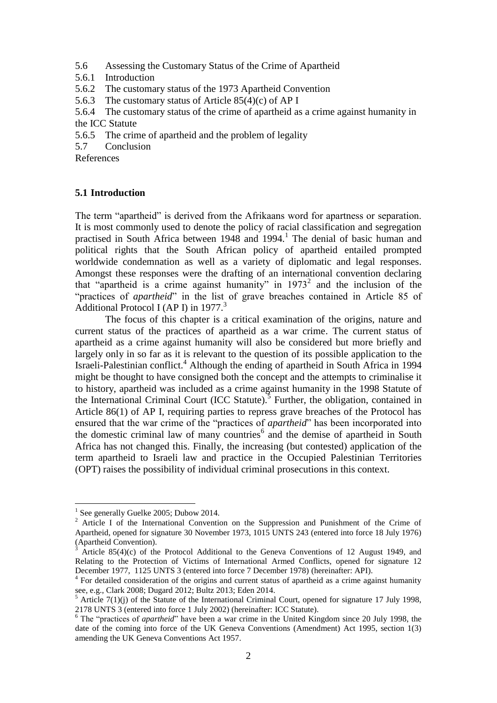- 5.6 Assessing the Customary Status of the Crime of Apartheid
- 5.6.1 Introduction
- 5.6.2 The customary status of the 1973 Apartheid Convention
- 5.6.3 The customary status of Article 85(4)(c) of AP I

5.6.4 The customary status of the crime of apartheid as a crime against humanity in the ICC Statute

- 5.6.5 The crime of apartheid and the problem of legality
- 5.7 Conclusion

References

#### **5.1 Introduction**

The term "apartheid" is derived from the Afrikaans word for apartness or separation. It is most commonly used to denote the policy of racial classification and segregation practised in South Africa between  $1948$  and  $1994<sup>1</sup>$ . The denial of basic human and political rights that the South African policy of apartheid entailed prompted worldwide condemnation as well as a variety of diplomatic and legal responses. Amongst these responses were the drafting of an international convention declaring that "apartheid is a crime against humanity" in  $1973<sup>2</sup>$  and the inclusion of the "practices of *apartheid*" in the list of grave breaches contained in Article 85 of Additional Protocol I (AP I) in  $1977<sup>3</sup>$ 

The focus of this chapter is a critical examination of the origins, nature and current status of the practices of apartheid as a war crime. The current status of apartheid as a crime against humanity will also be considered but more briefly and largely only in so far as it is relevant to the question of its possible application to the Israeli-Palestinian conflict. <sup>4</sup> Although the ending of apartheid in South Africa in 1994 might be thought to have consigned both the concept and the attempts to criminalise it to history, apartheid was included as a crime against humanity in the 1998 Statute of the International Criminal Court (ICC Statute).<sup>5</sup> Further, the obligation, contained in Article 86(1) of AP I, requiring parties to repress grave breaches of the Protocol has ensured that the war crime of the "practices of *apartheid*" has been incorporated into the domestic criminal law of many countries<sup>6</sup> and the demise of apartheid in South Africa has not changed this. Finally, the increasing (but contested) application of the term apartheid to Israeli law and practice in the Occupied Palestinian Territories (OPT) raises the possibility of individual criminal prosecutions in this context.

<sup>&</sup>lt;sup>1</sup> See generally Guelke 2005; Dubow 2014.

<sup>&</sup>lt;sup>2</sup> Article I of the International Convention on the Suppression and Punishment of the Crime of Apartheid, opened for signature 30 November 1973, 1015 UNTS 243 (entered into force 18 July 1976) (Apartheid Convention).

 $3$  Article 85(4)(c) of the Protocol Additional to the Geneva Conventions of 12 August 1949, and Relating to the Protection of Victims of International Armed Conflicts, opened for signature 12 December 1977, 1125 UNTS 3 (entered into force 7 December 1978) (hereinafter: API).

<sup>&</sup>lt;sup>4</sup> For detailed consideration of the origins and current status of apartheid as a crime against humanity see, e.g., Clark 2008; Dugard 2012; Bultz 2013; Eden 2014.

 $<sup>5</sup>$  Article 7(1)(j) of the Statute of the International Criminal Court, opened for signature 17 July 1998,</sup> 2178 UNTS 3 (entered into force 1 July 2002) (hereinafter: ICC Statute).

<sup>&</sup>lt;sup>6</sup> The "practices of *apartheid*" have been a war crime in the United Kingdom since 20 July 1998, the date of the coming into force of the UK Geneva Conventions (Amendment) Act 1995, section 1(3) amending the UK Geneva Conventions Act 1957.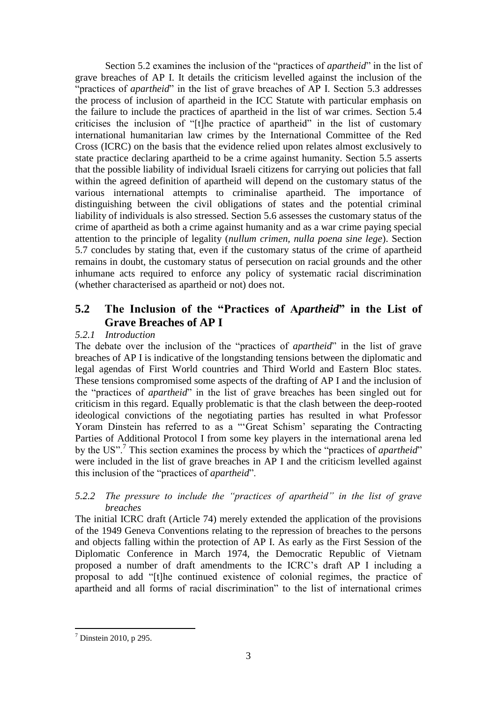Section 5.2 examines the inclusion of the "practices of *apartheid*" in the list of grave breaches of AP I. It details the criticism levelled against the inclusion of the "practices of *apartheid*" in the list of grave breaches of AP I. Section 5.3 addresses the process of inclusion of apartheid in the ICC Statute with particular emphasis on the failure to include the practices of apartheid in the list of war crimes. Section 5.4 criticises the inclusion of "[t]he practice of apartheid" in the list of customary international humanitarian law crimes by the International Committee of the Red Cross (ICRC) on the basis that the evidence relied upon relates almost exclusively to state practice declaring apartheid to be a crime against humanity. Section 5.5 asserts that the possible liability of individual Israeli citizens for carrying out policies that fall within the agreed definition of apartheid will depend on the customary status of the various international attempts to criminalise apartheid. The importance of distinguishing between the civil obligations of states and the potential criminal liability of individuals is also stressed. Section 5.6 assesses the customary status of the crime of apartheid as both a crime against humanity and as a war crime paying special attention to the principle of legality (*nullum crimen, nulla poena sine lege*). Section 5.7 concludes by stating that, even if the customary status of the crime of apartheid remains in doubt, the customary status of persecution on racial grounds and the other inhumane acts required to enforce any policy of systematic racial discrimination (whether characterised as apartheid or not) does not.

## **5.2 The Inclusion of the "Practices of A***partheid***" in the List of Grave Breaches of AP I**

## *5.2.1 Introduction*

The debate over the inclusion of the "practices of *apartheid*" in the list of grave breaches of AP I is indicative of the longstanding tensions between the diplomatic and legal agendas of First World countries and Third World and Eastern Bloc states. These tensions compromised some aspects of the drafting of AP I and the inclusion of the "practices of *apartheid*" in the list of grave breaches has been singled out for criticism in this regard. Equally problematic is that the clash between the deep-rooted ideological convictions of the negotiating parties has resulted in what Professor Yoram Dinstein has referred to as a "'Great Schism' separating the Contracting Parties of Additional Protocol I from some key players in the international arena led by the US".<sup>7</sup> This section examines the process by which the "practices of *apartheid*" were included in the list of grave breaches in AP I and the criticism levelled against this inclusion of the "practices of *apartheid*".

## *5.2.2 The pressure to include the "practices of apartheid" in the list of grave breaches*

The initial ICRC draft (Article 74) merely extended the application of the provisions of the 1949 Geneva Conventions relating to the repression of breaches to the persons and objects falling within the protection of AP I. As early as the First Session of the Diplomatic Conference in March 1974, the Democratic Republic of Vietnam proposed a number of draft amendments to the ICRC's draft AP I including a proposal to add "[t]he continued existence of colonial regimes, the practice of apartheid and all forms of racial discrimination" to the list of international crimes

 $<sup>7</sup>$  Dinstein 2010, p 295.</sup>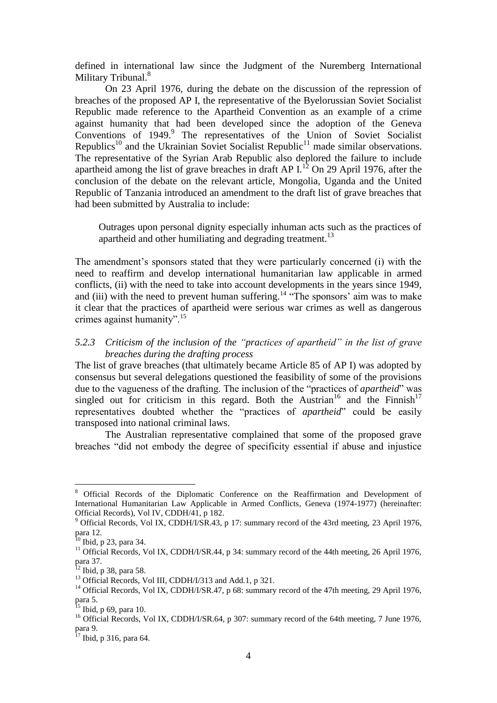defined in international law since the Judgment of the Nuremberg International Military Tribunal.<sup>8</sup>

On 23 April 1976, during the debate on the discussion of the repression of breaches of the proposed AP I, the representative of the Byelorussian Soviet Socialist Republic made reference to the Apartheid Convention as an example of a crime against humanity that had been developed since the adoption of the Geneva Conventions of 1949.<sup>9</sup> The representatives of the Union of Soviet Socialist Republics<sup>10</sup> and the Ukrainian Soviet Socialist Republic<sup>11</sup> made similar observations. The representative of the Syrian Arab Republic also deplored the failure to include apartheid among the list of grave breaches in draft AP I.<sup>12</sup> On 29 April 1976, after the conclusion of the debate on the relevant article, Mongolia, Uganda and the United Republic of Tanzania introduced an amendment to the draft list of grave breaches that had been submitted by Australia to include:

Outrages upon personal dignity especially inhuman acts such as the practices of apartheid and other humiliating and degrading treatment.<sup>13</sup>

The amendment's sponsors stated that they were particularly concerned (i) with the need to reaffirm and develop international humanitarian law applicable in armed conflicts, (ii) with the need to take into account developments in the years since 1949, and (iii) with the need to prevent human suffering.<sup>14 "The sponsors'</sup> aim was to make it clear that the practices of apartheid were serious war crimes as well as dangerous crimes against humanity".<sup>15</sup>

#### *5.2.3 Criticism of the inclusion of the "practices of apartheid" in the list of grave breaches during the drafting process*

The list of grave breaches (that ultimately became Article 85 of AP I) was adopted by consensus but several delegations questioned the feasibility of some of the provisions due to the vagueness of the drafting. The inclusion of the "practices of *apartheid*" was singled out for criticism in this regard. Both the Austrian<sup>16</sup> and the Finnish<sup>17</sup> representatives doubted whether the "practices of *apartheid*" could be easily transposed into national criminal laws.

The Australian representative complained that some of the proposed grave breaches "did not embody the degree of specificity essential if abuse and injustice

<sup>8</sup> Official Records of the Diplomatic Conference on the Reaffirmation and Development of International Humanitarian Law Applicable in Armed Conflicts, Geneva (1974-1977) (hereinafter: Official Records), Vol IV, CDDH/41, p 182.

<sup>9</sup> Official Records, Vol IX, CDDH/I/SR.43, p 17: summary record of the 43rd meeting, 23 April 1976, para 12.

 $10$  Ibid, p 23, para 34.

<sup>&</sup>lt;sup>11</sup> Official Records, Vol IX, CDDH/I/SR.44, p 34: summary record of the 44th meeting, 26 April 1976, para 37.

 $^{12}$  Ibid, p 38, para 58.

 $^{13}$  Official Records, Vol III, CDDH/I/313 and Add.1, p 321.

<sup>&</sup>lt;sup>14</sup> Official Records, Vol IX, CDDH/I/SR.47, p 68: summary record of the 47th meeting, 29 April 1976, para 5.

 $^{15}$  Ibid, p 69, para 10.

<sup>&</sup>lt;sup>16</sup> Official Records, Vol IX, CDDH/I/SR.64, p 307: summary record of the 64th meeting, 7 June 1976, para 9.

<sup>&</sup>lt;sup>17</sup> Ibid, p 316, para 64.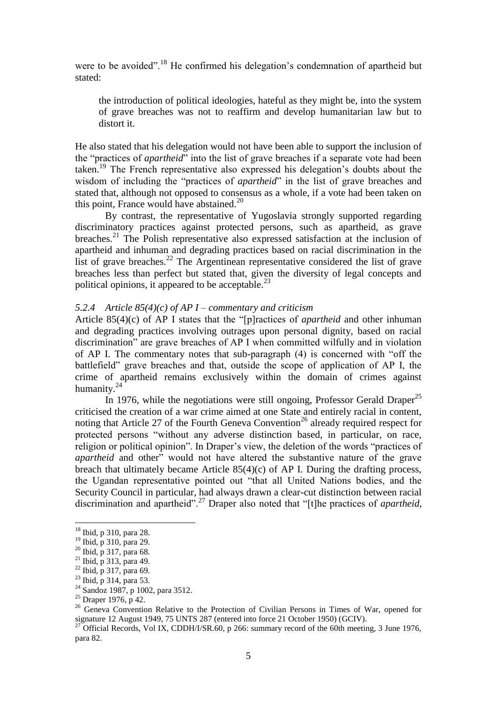were to be avoided".<sup>18</sup> He confirmed his delegation's condemnation of apartheid but stated:

the introduction of political ideologies, hateful as they might be, into the system of grave breaches was not to reaffirm and develop humanitarian law but to distort it.

He also stated that his delegation would not have been able to support the inclusion of the "practices of *apartheid*" into the list of grave breaches if a separate vote had been taken.<sup>19</sup> The French representative also expressed his delegation's doubts about the wisdom of including the "practices of *apartheid*" in the list of grave breaches and stated that, although not opposed to consensus as a whole, if a vote had been taken on this point, France would have abstained.<sup>20</sup>

By contrast, the representative of Yugoslavia strongly supported regarding discriminatory practices against protected persons, such as apartheid, as grave breaches.<sup>21</sup> The Polish representative also expressed satisfaction at the inclusion of apartheid and inhuman and degrading practices based on racial discrimination in the list of grave breaches.<sup>22</sup> The Argentinean representative considered the list of grave breaches less than perfect but stated that, given the diversity of legal concepts and political opinions, it appeared to be acceptable. $^{23}$ 

#### *5.2.4 Article 85(4)(c) of AP I – commentary and criticism*

Article 85(4)(c) of AP I states that the "[p]ractices of *apartheid* and other inhuman and degrading practices involving outrages upon personal dignity, based on racial discrimination" are grave breaches of AP I when committed wilfully and in violation of AP I. The commentary notes that sub-paragraph (4) is concerned with "off the battlefield" grave breaches and that, outside the scope of application of AP I, the crime of apartheid remains exclusively within the domain of crimes against humanity.<sup>24</sup>

In 1976, while the negotiations were still ongoing, Professor Gerald Draper<sup>25</sup> criticised the creation of a war crime aimed at one State and entirely racial in content, noting that Article 27 of the Fourth Geneva Convention<sup>26</sup> already required respect for protected persons "without any adverse distinction based, in particular, on race, religion or political opinion". In Draper's view, the deletion of the words "practices of *apartheid* and other" would not have altered the substantive nature of the grave breach that ultimately became Article 85(4)(c) of AP I. During the drafting process, the Ugandan representative pointed out "that all United Nations bodies, and the Security Council in particular, had always drawn a clear-cut distinction between racial discrimination and apartheid".<sup>27</sup> Draper also noted that "[t]he practices of *apartheid*,

<u>.</u>

<sup>18</sup> Ibid, p 310, para 28.

<sup>19</sup> Ibid, p 310, para 29.

<sup>20</sup> Ibid, p 317, para 68.

<sup>21</sup> Ibid, p 313, para 49.

<sup>22</sup> Ibid, p 317, para 69.

<sup>23</sup> Ibid, p 314, para 53.

<sup>&</sup>lt;sup>24</sup> Sandoz 1987, p 1002, para 3512.

 $25$  Draper 1976, p 42.

<sup>&</sup>lt;sup>26</sup> Geneva Convention Relative to the Protection of Civilian Persons in Times of War, opened for signature 12 August 1949, 75 UNTS 287 (entered into force 21 October 1950) (GCIV).

<sup>&</sup>lt;sup>27</sup> Official Records, Vol IX, CDDH/I/SR.60, p 266: summary record of the 60th meeting, 3 June 1976, para 82.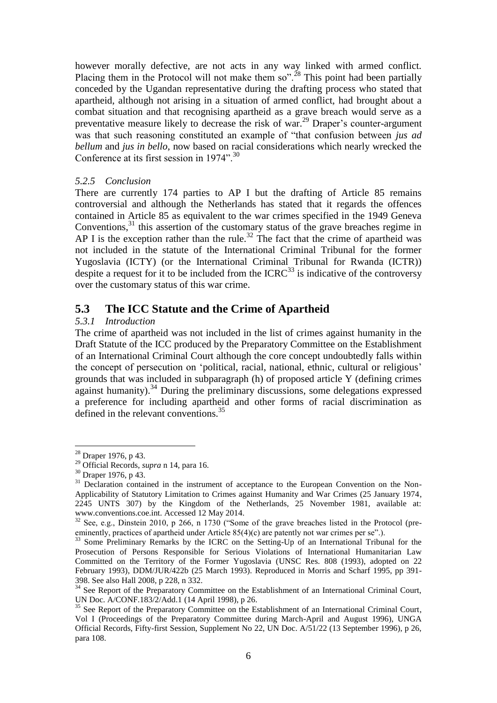however morally defective, are not acts in any way linked with armed conflict. Placing them in the Protocol will not make them so".<sup>28</sup> This point had been partially conceded by the Ugandan representative during the drafting process who stated that apartheid, although not arising in a situation of armed conflict, had brought about a combat situation and that recognising apartheid as a grave breach would serve as a preventative measure likely to decrease the risk of war.<sup>29</sup> Draper's counter-argument was that such reasoning constituted an example of "that confusion between *jus ad bellum* and *jus in bello*, now based on racial considerations which nearly wrecked the Conference at its first session in 1974".<sup>30</sup>

## *5.2.5 Conclusion*

There are currently 174 parties to AP I but the drafting of Article 85 remains controversial and although the Netherlands has stated that it regards the offences contained in Article 85 as equivalent to the war crimes specified in the 1949 Geneva Conventions,<sup>31</sup> this assertion of the customary status of the grave breaches regime in AP I is the exception rather than the rule.<sup>32</sup> The fact that the crime of apartheid was not included in the statute of the International Criminal Tribunal for the former Yugoslavia (ICTY) (or the International Criminal Tribunal for Rwanda (ICTR)) despite a request for it to be included from the  $ICRC<sup>33</sup>$  is indicative of the controversy over the customary status of this war crime.

## **5.3 The ICC Statute and the Crime of Apartheid**

## *5.3.1 Introduction*

The crime of apartheid was not included in the list of crimes against humanity in the Draft Statute of the ICC produced by the Preparatory Committee on the Establishment of an International Criminal Court although the core concept undoubtedly falls within the concept of persecution on 'political, racial, national, ethnic, cultural or religious' grounds that was included in subparagraph (h) of proposed article Y (defining crimes against humanity).<sup>34</sup> During the preliminary discussions, some delegations expressed a preference for including apartheid and other forms of racial discrimination as defined in the relevant conventions.<sup>35</sup>

 $28$  Draper 1976, p 43.

<sup>29</sup> Official Records, *supra* n 14, para 16.

<sup>30</sup> Draper 1976, p 43.

<sup>&</sup>lt;sup>31</sup> Declaration contained in the instrument of acceptance to the European Convention on the Non-Applicability of Statutory Limitation to Crimes against Humanity and War Crimes (25 January 1974, 2245 UNTS 307) by the Kingdom of the Netherlands, 25 November 1981, available at: [www.conventions.coe.int.](http://www.conventions.coe.int/) Accessed 12 May 2014.

<sup>&</sup>lt;sup>32</sup> See, e.g., Dinstein 2010, p 266, n 1730 ("Some of the grave breaches listed in the Protocol (preeminently, practices of apartheid under Article 85(4)(c) are patently not war crimes per se".).

<sup>&</sup>lt;sup>33</sup> Some Preliminary Remarks by the ICRC on the Setting-Up of an International Tribunal for the Prosecution of Persons Responsible for Serious Violations of International Humanitarian Law Committed on the Territory of the Former Yugoslavia (UNSC Res. 808 (1993), adopted on 22 February 1993), DDM/JUR/422b (25 March 1993). Reproduced in Morris and Scharf 1995, pp 391- 398. See also Hall 2008, p 228, n 332.

<sup>&</sup>lt;sup>34</sup> See Report of the Preparatory Committee on the Establishment of an International Criminal Court, UN Doc. A/CONF.183/2/Add.1 (14 April 1998), p 26.

<sup>&</sup>lt;sup>35</sup> See Report of the Preparatory Committee on the Establishment of an International Criminal Court, Vol I (Proceedings of the Preparatory Committee during March-April and August 1996), UNGA Official Records, Fifty-first Session, Supplement No 22, UN Doc. A/51/22 (13 September 1996), p 26, para 108.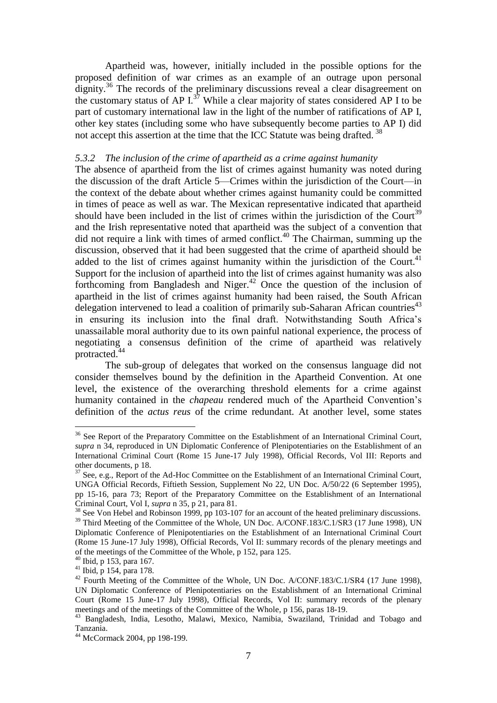Apartheid was, however, initially included in the possible options for the proposed definition of war crimes as an example of an outrage upon personal dignity.<sup>36</sup> The records of the preliminary discussions reveal a clear disagreement on the customary status of AP  $I^{37}$  While a clear majority of states considered AP I to be part of customary international law in the light of the number of ratifications of AP I, other key states (including some who have subsequently become parties to AP I) did not accept this assertion at the time that the ICC Statute was being drafted.<sup>38</sup>

#### *5.3.2 The inclusion of the crime of apartheid as a crime against humanity*

The absence of apartheid from the list of crimes against humanity was noted during the discussion of the draft Article 5—Crimes within the jurisdiction of the Court—in the context of the debate about whether crimes against humanity could be committed in times of peace as well as war. The Mexican representative indicated that apartheid should have been included in the list of crimes within the jurisdiction of the Court<sup>39</sup> and the Irish representative noted that apartheid was the subject of a convention that did not require a link with times of armed conflict.<sup>40</sup> The Chairman, summing up the discussion, observed that it had been suggested that the crime of apartheid should be added to the list of crimes against humanity within the jurisdiction of the Court.<sup>41</sup> Support for the inclusion of apartheid into the list of crimes against humanity was also forthcoming from Bangladesh and Niger.<sup>42</sup> Once the question of the inclusion of apartheid in the list of crimes against humanity had been raised, the South African delegation intervened to lead a coalition of primarily sub-Saharan African countries<sup> $43$ </sup> in ensuring its inclusion into the final draft. Notwithstanding South Africa's unassailable moral authority due to its own painful national experience, the process of negotiating a consensus definition of the crime of apartheid was relatively protracted.<sup>4</sup>

The sub-group of delegates that worked on the consensus language did not consider themselves bound by the definition in the Apartheid Convention. At one level, the existence of the overarching threshold elements for a crime against humanity contained in the *chapeau* rendered much of the Apartheid Convention's definition of the *actus reus* of the crime redundant. At another level, some states

<sup>&</sup>lt;sup>36</sup> See Report of the Preparatory Committee on the Establishment of an International Criminal Court, *supra* n 34, reproduced in UN Diplomatic Conference of Plenipotentiaries on the Establishment of an International Criminal Court (Rome 15 June-17 July 1998), Official Records, Vol III: Reports and other documents, p 18.

 $37$  See, e.g., Report of the Ad-Hoc Committee on the Establishment of an International Criminal Court, UNGA Official Records, Fiftieth Session, Supplement No 22, UN Doc. A/50/22 (6 September 1995), pp 15-16, para 73; Report of the Preparatory Committee on the Establishment of an International Criminal Court, Vol I, *supra* n 35, p 21, para 81.

<sup>&</sup>lt;sup>38</sup> See Von Hebel and Robinson 1999, pp 103-107 for an account of the heated preliminary discussions. <sup>39</sup> Third Meeting of the Committee of the Whole, UN Doc. A/CONF.183/C.1/SR3 (17 June 1998), UN Diplomatic Conference of Plenipotentiaries on the Establishment of an International Criminal Court (Rome 15 June-17 July 1998), Official Records, Vol II: summary records of the plenary meetings and of the meetings of the Committee of the Whole, p 152, para 125.

 $40$  Ibid, p 153, para 167.

 $41$  Ibid, p 154, para 178.

<sup>&</sup>lt;sup>42</sup> Fourth Meeting of the Committee of the Whole, UN Doc. A/CONF.183/C.1/SR4 (17 June 1998), UN Diplomatic Conference of Plenipotentiaries on the Establishment of an International Criminal Court (Rome 15 June-17 July 1998), Official Records, Vol II: summary records of the plenary meetings and of the meetings of the Committee of the Whole, p 156, paras 18-19.

<sup>43</sup> Bangladesh, India, Lesotho, Malawi, Mexico, Namibia, Swaziland, Trinidad and Tobago and Tanzania.

<sup>44</sup> McCormack 2004, pp 198-199.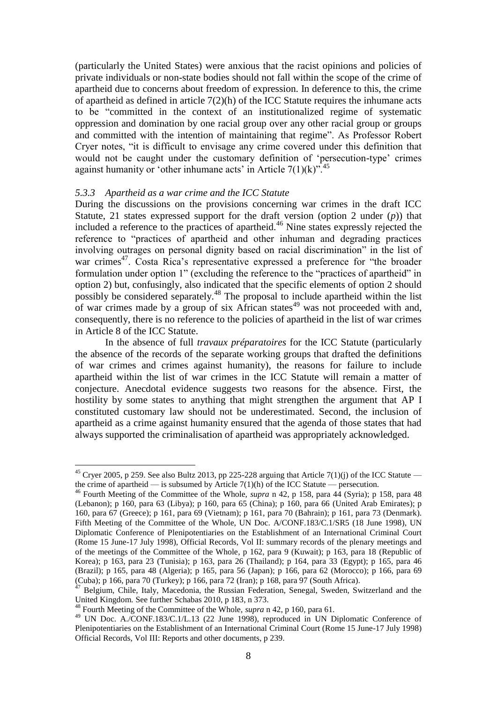(particularly the United States) were anxious that the racist opinions and policies of private individuals or non-state bodies should not fall within the scope of the crime of apartheid due to concerns about freedom of expression. In deference to this, the crime of apartheid as defined in article  $7(2)(h)$  of the ICC Statute requires the inhumane acts to be "committed in the context of an institutionalized regime of systematic oppression and domination by one racial group over any other racial group or groups and committed with the intention of maintaining that regime". As Professor Robert Cryer notes, "it is difficult to envisage any crime covered under this definition that would not be caught under the customary definition of 'persecution-type' crimes against humanity or 'other inhumane acts' in Article  $7(1)(k)$ ".<sup>45</sup>

#### *5.3.3 Apartheid as a war crime and the ICC Statute*

During the discussions on the provisions concerning war crimes in the draft ICC Statute, 21 states expressed support for the draft version (option 2 under (*p*)) that included a reference to the practices of apartheid.<sup>46</sup> Nine states expressly rejected the reference to "practices of apartheid and other inhuman and degrading practices involving outrages on personal dignity based on racial discrimination" in the list of war crimes<sup>47</sup>. Costa Rica's representative expressed a preference for "the broader formulation under option 1" (excluding the reference to the "practices of apartheid" in option 2) but, confusingly, also indicated that the specific elements of option 2 should possibly be considered separately.<sup>48</sup> The proposal to include apartheid within the list of war crimes made by a group of six African states<sup>49</sup> was not proceeded with and, consequently, there is no reference to the policies of apartheid in the list of war crimes in Article 8 of the ICC Statute.

In the absence of full *travaux préparatoires* for the ICC Statute (particularly the absence of the records of the separate working groups that drafted the definitions of war crimes and crimes against humanity), the reasons for failure to include apartheid within the list of war crimes in the ICC Statute will remain a matter of conjecture. Anecdotal evidence suggests two reasons for the absence. First, the hostility by some states to anything that might strengthen the argument that AP I constituted customary law should not be underestimated. Second, the inclusion of apartheid as a crime against humanity ensured that the agenda of those states that had always supported the criminalisation of apartheid was appropriately acknowledged.

<u>.</u>

<sup>&</sup>lt;sup>45</sup> Cryer 2005, p 259. See also Bultz 2013, pp 225-228 arguing that Article 7(1)(j) of the ICC Statute the crime of apartheid — is subsumed by Article  $7(1)(h)$  of the ICC Statute — persecution.

<sup>46</sup> Fourth Meeting of the Committee of the Whole, *supra* n 42, p 158, para 44 (Syria); p 158, para 48 (Lebanon); p 160, para 63 (Libya); p 160, para 65 (China); p 160, para 66 (United Arab Emirates); p 160, para 67 (Greece); p 161, para 69 (Vietnam); p 161, para 70 (Bahrain); p 161, para 73 (Denmark). Fifth Meeting of the Committee of the Whole, UN Doc. A/CONF.183/C.1/SR5 (18 June 1998), UN Diplomatic Conference of Plenipotentiaries on the Establishment of an International Criminal Court (Rome 15 June-17 July 1998), Official Records, Vol II: summary records of the plenary meetings and of the meetings of the Committee of the Whole, p 162, para 9 (Kuwait); p 163, para 18 (Republic of Korea); p 163, para 23 (Tunisia); p 163, para 26 (Thailand); p 164, para 33 (Egypt); p 165, para 46 (Brazil); p 165, para 48 (Algeria); p 165, para 56 (Japan); p 166, para 62 (Morocco); p 166, para 69 (Cuba); p 166, para 70 (Turkey); p 166, para 72 (Iran); p 168, para 97 (South Africa).

<sup>47</sup> Belgium, Chile, Italy, Macedonia, the Russian Federation, Senegal, Sweden, Switzerland and the United Kingdom. See further Schabas 2010, p 183, n 373.

<sup>48</sup> Fourth Meeting of the Committee of the Whole, *supra* n 42, p 160, para 61.

<sup>49</sup> UN Doc. A./CONF.183/C.1/L.13 (22 June 1998), reproduced in UN Diplomatic Conference of Plenipotentiaries on the Establishment of an International Criminal Court (Rome 15 June-17 July 1998) Official Records, Vol III: Reports and other documents, p 239.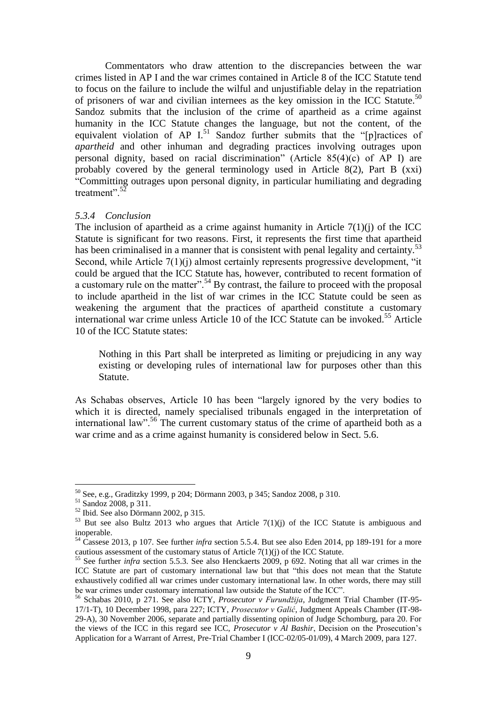Commentators who draw attention to the discrepancies between the war crimes listed in AP I and the war crimes contained in Article 8 of the ICC Statute tend to focus on the failure to include the wilful and unjustifiable delay in the repatriation of prisoners of war and civilian internees as the key omission in the ICC Statute.<sup>50</sup> Sandoz submits that the inclusion of the crime of apartheid as a crime against humanity in the ICC Statute changes the language, but not the content, of the equivalent violation of AP  $I<sup>51</sup>$  Sandoz further submits that the "[p]ractices of *apartheid* and other inhuman and degrading practices involving outrages upon personal dignity, based on racial discrimination" (Article 85(4)(c) of AP I) are probably covered by the general terminology used in Article 8(2), Part B (xxi) "Committing outrages upon personal dignity, in particular humiliating and degrading treatment".<sup>52</sup>

#### *5.3.4 Conclusion*

The inclusion of apartheid as a crime against humanity in Article  $7(1)(i)$  of the ICC Statute is significant for two reasons. First, it represents the first time that apartheid has been criminalised in a manner that is consistent with penal legality and certainty.<sup>53</sup> Second, while Article 7(1)(i) almost certainly represents progressive development, "it could be argued that the ICC Statute has, however, contributed to recent formation of a customary rule on the matter".  $54$  By contrast, the failure to proceed with the proposal to include apartheid in the list of war crimes in the ICC Statute could be seen as weakening the argument that the practices of apartheid constitute a customary international war crime unless Article 10 of the ICC Statute can be invoked.<sup>55</sup> Article 10 of the ICC Statute states:

Nothing in this Part shall be interpreted as limiting or prejudicing in any way existing or developing rules of international law for purposes other than this Statute.

As Schabas observes, Article 10 has been "largely ignored by the very bodies to which it is directed, namely specialised tribunals engaged in the interpretation of international law".<sup>56</sup> The current customary status of the crime of apartheid both as a war crime and as a crime against humanity is considered below in Sect. 5.6.

<sup>50</sup> See, e.g., Graditzky 1999, p 204; Dörmann 2003, p 345; Sandoz 2008, p 310.

<sup>51</sup> Sandoz 2008, p 311.

<sup>52</sup> Ibid. See also Dörmann 2002, p 315.

 $53$  But see also Bultz 2013 who argues that Article 7(1)(j) of the ICC Statute is ambiguous and inoperable.

<sup>54</sup> Cassese 2013, p 107. See further *infra* section 5.5.4. But see also Eden 2014, pp 189-191 for a more cautious assessment of the customary status of Article 7(1)(j) of the ICC Statute.

<sup>55</sup> See further *infra* section 5.5.3. See also Henckaerts 2009, p 692. Noting that all war crimes in the ICC Statute are part of customary international law but that "this does not mean that the Statute exhaustively codified all war crimes under customary international law. In other words, there may still be war crimes under customary international law outside the Statute of the ICC".

<sup>56</sup> Schabas 2010, p 271. See also ICTY, *Prosecutor v Furundžija*, Judgment Trial Chamber (IT-95- 17/1-T), 10 December 1998, para 227; ICTY, *Prosecutor v Galić*, Judgment Appeals Chamber (IT-98- 29-A), 30 November 2006, separate and partially dissenting opinion of Judge Schomburg, para 20. For the views of the ICC in this regard see ICC, *Prosecutor v Al Bashir*, Decision on the Prosecution's Application for a Warrant of Arrest, Pre-Trial Chamber I (ICC-02/05-01/09), 4 March 2009, para 127.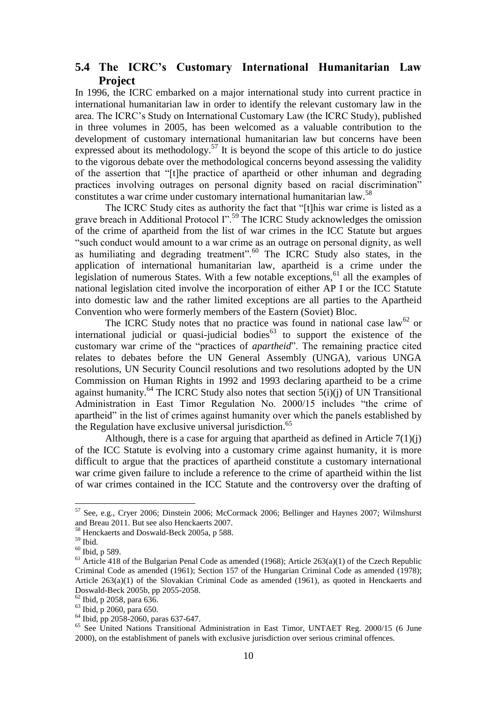## **5.4 The ICRC's Customary International Humanitarian Law Project**

In 1996, the ICRC embarked on a major international study into current practice in international humanitarian law in order to identify the relevant customary law in the area. The ICRC's Study on International Customary Law (the ICRC Study), published in three volumes in 2005, has been welcomed as a valuable contribution to the development of customary international humanitarian law but concerns have been expressed about its methodology.<sup>57</sup> It is beyond the scope of this article to do justice to the vigorous debate over the methodological concerns beyond assessing the validity of the assertion that "[t]he practice of apartheid or other inhuman and degrading practices involving outrages on personal dignity based on racial discrimination" constitutes a war crime under customary international humanitarian law.<sup>58</sup>

The ICRC Study cites as authority the fact that "[t]his war crime is listed as a grave breach in Additional Protocol I".<sup>59</sup> The ICRC Study acknowledges the omission of the crime of apartheid from the list of war crimes in the ICC Statute but argues "such conduct would amount to a war crime as an outrage on personal dignity, as well as humiliating and degrading treatment". $60$  The ICRC Study also states, in the application of international humanitarian law, apartheid is a crime under the legislation of numerous States. With a few notable exceptions,<sup>61</sup> all the examples of national legislation cited involve the incorporation of either AP I or the ICC Statute into domestic law and the rather limited exceptions are all parties to the Apartheid Convention who were formerly members of the Eastern (Soviet) Bloc.

The ICRC Study notes that no practice was found in national case  $law^{62}$  or international judicial or quasi-judicial bodies<sup> $63$ </sup> to support the existence of the customary war crime of the "practices of *apartheid*". The remaining practice cited relates to debates before the UN General Assembly (UNGA), various UNGA resolutions, UN Security Council resolutions and two resolutions adopted by the UN Commission on Human Rights in 1992 and 1993 declaring apartheid to be a crime against humanity.<sup>64</sup> The ICRC Study also notes that section  $\overline{5(i)}(i)$  of UN Transitional Administration in East Timor Regulation No. 2000/15 includes "the crime of apartheid" in the list of crimes against humanity over which the panels established by the Regulation have exclusive universal jurisdiction.<sup>65</sup>

Although, there is a case for arguing that apartheid as defined in Article  $7(1)(i)$ of the ICC Statute is evolving into a customary crime against humanity, it is more difficult to argue that the practices of apartheid constitute a customary international war crime given failure to include a reference to the crime of apartheid within the list of war crimes contained in the ICC Statute and the controversy over the drafting of

<sup>57</sup> See, e.g., Cryer 2006; Dinstein 2006; McCormack 2006; Bellinger and Haynes 2007; Wilmshurst and Breau 2011. But see also Henckaerts 2007.

<sup>58</sup> Henckaerts and Doswald-Beck 2005a, p 588.

 $^{59}$  Ibid.

<sup>60</sup> Ibid, p 589.

 $61$  Article 418 of the Bulgarian Penal Code as amended (1968); Article 263(a)(1) of the Czech Republic Criminal Code as amended (1961); Section 157 of the Hungarian Criminal Code as amended (1978); Article 263(a)(1) of the Slovakian Criminal Code as amended (1961), as quoted in Henckaerts and Doswald-Beck 2005b, pp 2055-2058.

<sup>62</sup> Ibid, p 2058, para 636.

<sup>63</sup> Ibid, p 2060, para 650.

 $^{64}$  Ibid, pp 2058-2060, paras 637-647.

<sup>&</sup>lt;sup>65</sup> See United Nations Transitional Administration in East Timor, UNTAET Reg. 2000/15 (6 June 2000), on the establishment of panels with exclusive jurisdiction over serious criminal offences.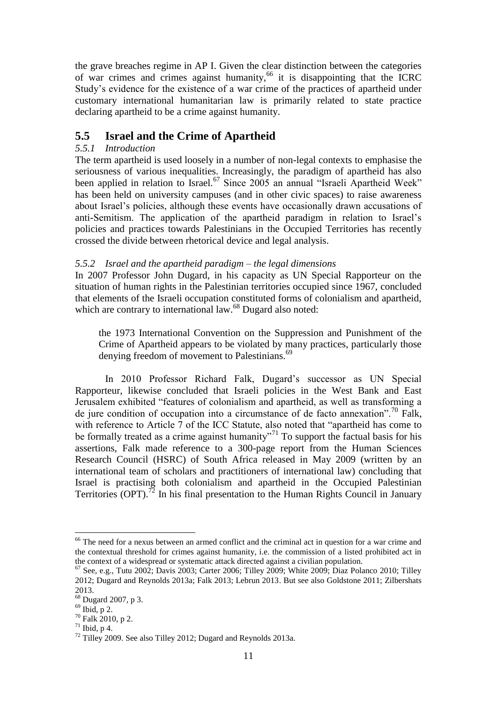the grave breaches regime in AP I. Given the clear distinction between the categories of war crimes and crimes against humanity,<sup>66</sup> it is disappointing that the ICRC Study's evidence for the existence of a war crime of the practices of apartheid under customary international humanitarian law is primarily related to state practice declaring apartheid to be a crime against humanity.

## **5.5 Israel and the Crime of Apartheid**

## *5.5.1 Introduction*

The term apartheid is used loosely in a number of non-legal contexts to emphasise the seriousness of various inequalities. Increasingly, the paradigm of apartheid has also been applied in relation to Israel.<sup>67</sup> Since 2005 an annual "Israeli Apartheid Week" has been held on university campuses (and in other civic spaces) to raise awareness about Israel's policies, although these events have occasionally drawn accusations of anti-Semitism. The application of the apartheid paradigm in relation to Israel's policies and practices towards Palestinians in the Occupied Territories has recently crossed the divide between rhetorical device and legal analysis.

## *5.5.2 Israel and the apartheid paradigm – the legal dimensions*

In 2007 Professor John Dugard, in his capacity as UN Special Rapporteur on the situation of human rights in the Palestinian territories occupied since 1967, concluded that elements of the Israeli occupation constituted forms of colonialism and apartheid, which are contrary to international law.<sup>68</sup> Dugard also noted:

the 1973 International Convention on the Suppression and Punishment of the Crime of Apartheid appears to be violated by many practices, particularly those denying freedom of movement to Palestinians.<sup>69</sup>

In 2010 Professor Richard Falk, Dugard's successor as UN Special Rapporteur, likewise concluded that Israeli policies in the West Bank and East Jerusalem exhibited "features of colonialism and apartheid, as well as transforming a de jure condition of occupation into a circumstance of de facto annexation".<sup>70</sup> Falk, with reference to Article 7 of the ICC Statute, also noted that "apartheid has come to be formally treated as a crime against humanity"<sup>71</sup> To support the factual basis for his assertions, Falk made reference to a 300-page report from the Human Sciences Research Council (HSRC) of South Africa released in May 2009 (written by an international team of scholars and practitioners of international law) concluding that Israel is practising both colonialism and apartheid in the Occupied Palestinian Territories (OPT).<sup>72</sup> In his final presentation to the Human Rights Council in January

<sup>&</sup>lt;sup>66</sup> The need for a nexus between an armed conflict and the criminal act in question for a war crime and the contextual threshold for crimes against humanity, i.e. the commission of a listed prohibited act in the context of a widespread or systematic attack directed against a civilian population.

 $67$  See, e.g., Tutu 2002; Davis 2003; Carter 2006; Tilley 2009; White 2009; Diaz Polanco 2010; Tilley 2012; Dugard and Reynolds 2013a; Falk 2013; Lebrun 2013. But see also Goldstone 2011; Zilbershats 2013.

 $68$  Dugard 2007, p 3.

 $69$  Ibid, p 2.

<sup>70</sup> Falk 2010, p 2.

 $71$  Ibid, p 4.

<sup>&</sup>lt;sup>72</sup> Tilley 2009. See also Tilley 2012; Dugard and Reynolds 2013a.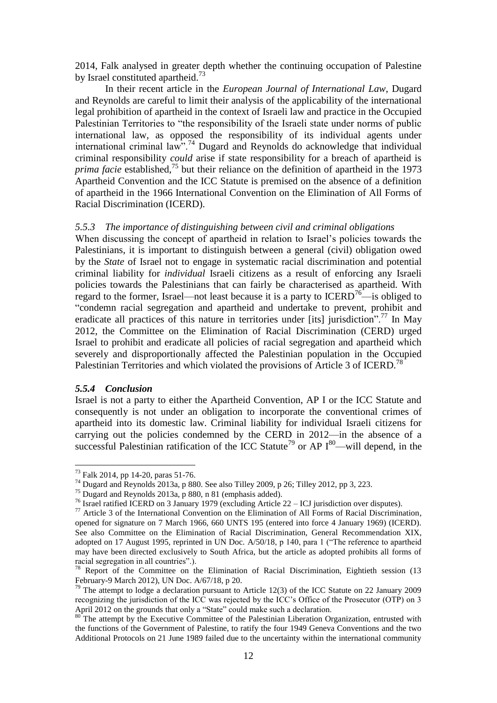2014, Falk analysed in greater depth whether the continuing occupation of Palestine by Israel constituted apartheid.<sup>73</sup>

In their recent article in the *European Journal of International Law*, Dugard and Reynolds are careful to limit their analysis of the applicability of the international legal prohibition of apartheid in the context of Israeli law and practice in the Occupied Palestinian Territories to "the responsibility of the Israeli state under norms of public international law, as opposed the responsibility of its individual agents under international criminal law".<sup>74</sup> Dugard and Reynolds do acknowledge that individual criminal responsibility *could* arise if state responsibility for a breach of apartheid is *prima facie* established,<sup>75</sup> but their reliance on the definition of apartheid in the 1973 Apartheid Convention and the ICC Statute is premised on the absence of a definition of apartheid in the 1966 International Convention on the Elimination of All Forms of Racial Discrimination (ICERD).

#### *5.5.3 The importance of distinguishing between civil and criminal obligations*

When discussing the concept of apartheid in relation to Israel's policies towards the Palestinians, it is important to distinguish between a general (civil) obligation owed by the *State* of Israel not to engage in systematic racial discrimination and potential criminal liability for *individual* Israeli citizens as a result of enforcing any Israeli policies towards the Palestinians that can fairly be characterised as apartheid. With regard to the former, Israel—not least because it is a party to  $ICERD<sup>76</sup>$ —is obliged to "condemn racial segregation and apartheid and undertake to prevent, prohibit and eradicate all practices of this nature in territories under [its] jurisdiction".<sup>77</sup> In May 2012, the Committee on the Elimination of Racial Discrimination (CERD) urged Israel to prohibit and eradicate all policies of racial segregation and apartheid which severely and disproportionally affected the Palestinian population in the Occupied Palestinian Territories and which violated the provisions of Article 3 of ICERD.<sup>78</sup>

#### *5.5.4 Conclusion*

<u>.</u>

Israel is not a party to either the Apartheid Convention, AP I or the ICC Statute and consequently is not under an obligation to incorporate the conventional crimes of apartheid into its domestic law. Criminal liability for individual Israeli citizens for carrying out the policies condemned by the CERD in 2012—in the absence of a successful Palestinian ratification of the ICC Statute<sup>79</sup> or AP  $I^{80}$ —will depend, in the

<sup>73</sup> Falk 2014, pp 14-20, paras 51-76.

<sup>&</sup>lt;sup>74</sup> Dugard and Reynolds 2013a, p 880. See also Tilley 2009, p 26; Tilley 2012, pp 3, 223.

<sup>75</sup> Dugard and Reynolds 2013a, p 880, n 81 (emphasis added).

<sup>76</sup> Israel ratified ICERD on 3 January 1979 (excluding Article 22 – ICJ jurisdiction over disputes).

<sup>77</sup> Article 3 of the International Convention on the Elimination of All Forms of Racial Discrimination, opened for signature on 7 March 1966, 660 UNTS 195 (entered into force 4 January 1969) (ICERD). See also Committee on the Elimination of Racial Discrimination, General Recommendation XIX, adopted on 17 August 1995, reprinted in UN Doc. A/50/18, p 140, para 1 ("The reference to apartheid may have been directed exclusively to South Africa, but the article as adopted prohibits all forms of racial segregation in all countries".).

<sup>&</sup>lt;sup>78</sup> Report of the Committee on the Elimination of Racial Discrimination, Eightieth session (13 February-9 March 2012), UN Doc. A/67/18, p 20.

 $79$  The attempt to lodge a declaration pursuant to Article 12(3) of the ICC Statute on 22 January 2009 recognizing the jurisdiction of the ICC was rejected by the ICC's Office of the Prosecutor (OTP) on 3 April 2012 on the grounds that only a "State" could make such a declaration.

The attempt by the Executive Committee of the Palestinian Liberation Organization, entrusted with the functions of the Government of Palestine, to ratify the four 1949 Geneva Conventions and the two Additional Protocols on 21 June 1989 failed due to the uncertainty within the international community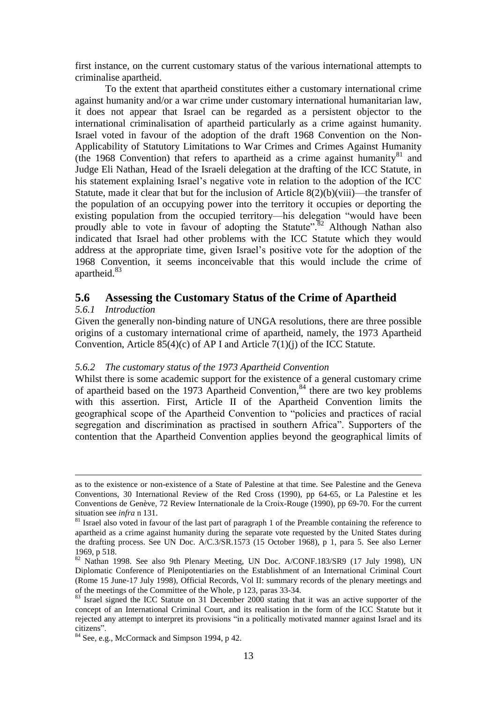first instance, on the current customary status of the various international attempts to criminalise apartheid.

To the extent that apartheid constitutes either a customary international crime against humanity and/or a war crime under customary international humanitarian law, it does not appear that Israel can be regarded as a persistent objector to the international criminalisation of apartheid particularly as a crime against humanity. Israel voted in favour of the adoption of the draft 1968 Convention on the Non-Applicability of Statutory Limitations to War Crimes and Crimes Against Humanity (the 1968 Convention) that refers to apartheid as a crime against humanity<sup>81</sup> and Judge Eli Nathan, Head of the Israeli delegation at the drafting of the ICC Statute, in his statement explaining Israel's negative vote in relation to the adoption of the ICC Statute, made it clear that but for the inclusion of Article  $8(2)(b)(viii)$ —the transfer of the population of an occupying power into the territory it occupies or deporting the existing population from the occupied territory—his delegation "would have been proudly able to vote in favour of adopting the Statute".<sup>82</sup> Although Nathan also indicated that Israel had other problems with the ICC Statute which they would address at the appropriate time, given Israel's positive vote for the adoption of the 1968 Convention, it seems inconceivable that this would include the crime of apartheid.<sup>83</sup>

## **5.6 Assessing the Customary Status of the Crime of Apartheid**

#### *5.6.1 Introduction*

1

Given the generally non-binding nature of UNGA resolutions, there are three possible origins of a customary international crime of apartheid, namely, the 1973 Apartheid Convention, Article  $85(4)(c)$  of AP I and Article  $7(1)(i)$  of the ICC Statute.

#### *5.6.2 The customary status of the 1973 Apartheid Convention*

Whilst there is some academic support for the existence of a general customary crime of apartheid based on the 1973 Apartheid Convention, $84$  there are two key problems with this assertion. First, Article II of the Apartheid Convention limits the geographical scope of the Apartheid Convention to "policies and practices of racial segregation and discrimination as practised in southern Africa". Supporters of the contention that the Apartheid Convention applies beyond the geographical limits of

as to the existence or non-existence of a State of Palestine at that time. See Palestine and the Geneva Conventions, 30 International Review of the Red Cross (1990), pp 64-65, or La Palestine et les Conventions de Genève, 72 Review Internationale de la Croix-Rouge (1990), pp 69-70. For the current situation see *infra* n 131.

<sup>&</sup>lt;sup>81</sup> Israel also voted in favour of the last part of paragraph 1 of the Preamble containing the reference to apartheid as a crime against humanity during the separate vote requested by the United States during the drafting process. See UN Doc. A/C.3/SR.1573 (15 October 1968), p 1, para 5. See also Lerner 1969, p 518.

<sup>82</sup> Nathan 1998. See also 9th Plenary Meeting, UN Doc. A/CONF.183/SR9 (17 July 1998), UN Diplomatic Conference of Plenipotentiaries on the Establishment of an International Criminal Court (Rome 15 June-17 July 1998), Official Records, Vol II: summary records of the plenary meetings and of the meetings of the Committee of the Whole, p 123, paras 33-34.

<sup>&</sup>lt;sup>83</sup> Israel signed the ICC Statute on 31 December 2000 stating that it was an active supporter of the concept of an International Criminal Court, and its realisation in the form of the ICC Statute but it rejected any attempt to interpret its provisions "in a politically motivated manner against Israel and its citizens".

<sup>84</sup> See, e.g., McCormack and Simpson 1994, p 42.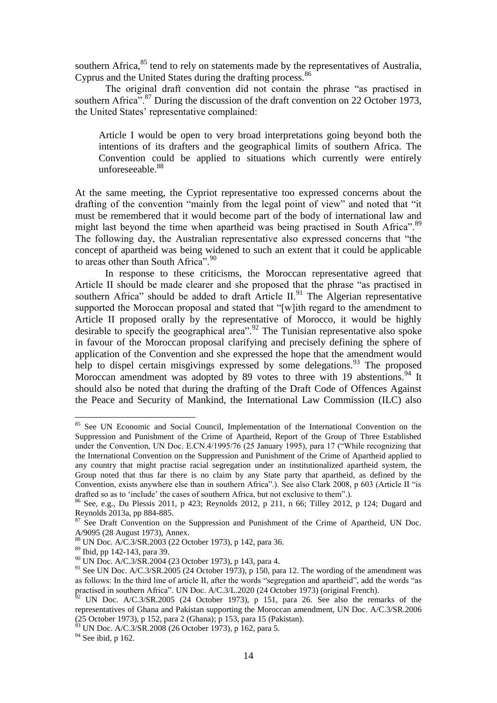southern Africa, $85$  tend to rely on statements made by the representatives of Australia, Cyprus and the United States during the drafting process.<sup>86</sup>

The original draft convention did not contain the phrase "as practised in southern Africa<sup>".87</sup> During the discussion of the draft convention on 22 October 1973, the United States' representative complained:

Article I would be open to very broad interpretations going beyond both the intentions of its drafters and the geographical limits of southern Africa. The Convention could be applied to situations which currently were entirely unforeseeable.<sup>88</sup>

At the same meeting, the Cypriot representative too expressed concerns about the drafting of the convention "mainly from the legal point of view" and noted that "it must be remembered that it would become part of the body of international law and might last beyond the time when apartheid was being practised in South Africa".<sup>89</sup> The following day, the Australian representative also expressed concerns that "the concept of apartheid was being widened to such an extent that it could be applicable to areas other than South Africa". 90

In response to these criticisms, the Moroccan representative agreed that Article II should be made clearer and she proposed that the phrase "as practised in southern Africa" should be added to draft Article  $II^{91}$ . The Algerian representative supported the Moroccan proposal and stated that "[w]ith regard to the amendment to Article II proposed orally by the representative of Morocco, it would be highly desirable to specify the geographical area".<sup>92</sup> The Tunisian representative also spoke in favour of the Moroccan proposal clarifying and precisely defining the sphere of application of the Convention and she expressed the hope that the amendment would help to dispel certain misgivings expressed by some delegations. <sup>93</sup> The proposed Moroccan amendment was adopted by 89 votes to three with 19 abstentions.<sup>94</sup> It should also be noted that during the drafting of the Draft Code of Offences Against the Peace and Security of Mankind, the International Law Commission (ILC) also

<sup>&</sup>lt;sup>85</sup> See UN Economic and Social Council, Implementation of the International Convention on the Suppression and Punishment of the Crime of Apartheid, Report of the Group of Three Established under the Convention, UN Doc. E.CN.4/1995/76 (25 January 1995), para 17 ("While recognizing that the International Convention on the Suppression and Punishment of the Crime of Apartheid applied to any country that might practise racial segregation under an institutionalized apartheid system, the Group noted that thus far there is no claim by any State party that apartheid, as defined by the Convention, exists anywhere else than in southern Africa".). See also Clark 2008, p 603 (Article II "is drafted so as to 'include' the cases of southern Africa, but not exclusive to them".).

<sup>86</sup> See, e.g., Du Plessis 2011, p 423; Reynolds 2012, p 211, n 66; Tilley 2012, p 124; Dugard and Reynolds 2013a, pp 884-885.

<sup>&</sup>lt;sup>87</sup> See Draft Convention on the Suppression and Punishment of the Crime of Apartheid, UN Doc. A/9095 (28 August 1973), Annex.

<sup>88</sup> UN Doc. A/C.3/SR.2003 (22 October 1973), p 142, para 36.

<sup>89</sup> Ibid, pp 142-143, para 39.

<sup>90</sup> UN Doc. A/C.3/SR.2004 (23 October 1973), p 143, para 4.

<sup>&</sup>lt;sup>91</sup> See UN Doc. A/C.3/SR.2005 (24 October 1973), p 150, para 12. The wording of the amendment was as follows: In the third line of article II, after the words "segregation and apartheid", add the words "as practised in southern Africa". UN Doc. A/C.3/L.2020 (24 October 1973) (original French).

 $^{62}$  UN Doc. A/C.3/SR.2005 (24 October 1973), p 151, para 26. See also the remarks of the representatives of Ghana and Pakistan supporting the Moroccan amendment, UN Doc. A/C.3/SR.2006 (25 October 1973), p 152, para 2 (Ghana); p 153, para 15 (Pakistan).

<sup>93</sup> UN Doc. A/C.3/SR.2008 (26 October 1973), p 162, para 5.

 $94$  See ibid, p 162.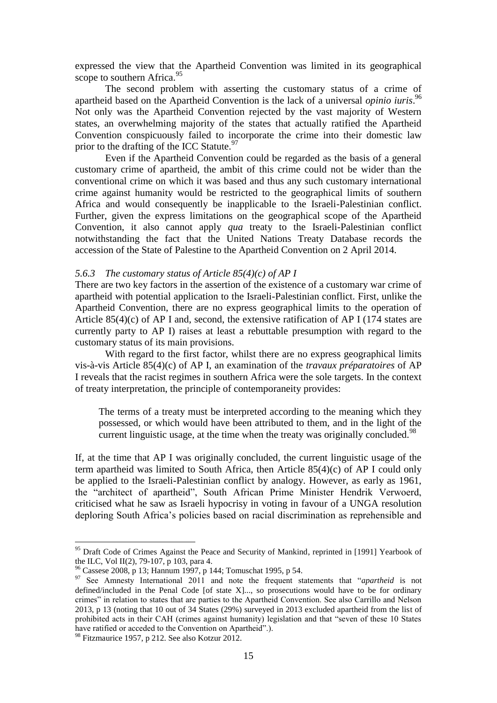expressed the view that the Apartheid Convention was limited in its geographical scope to southern Africa.<sup>95</sup>

The second problem with asserting the customary status of a crime of apartheid based on the Apartheid Convention is the lack of a universal *opinio iuris*. 96 Not only was the Apartheid Convention rejected by the vast majority of Western states, an overwhelming majority of the states that actually ratified the Apartheid Convention conspicuously failed to incorporate the crime into their domestic law prior to the drafting of the ICC Statute.  $97$ 

Even if the Apartheid Convention could be regarded as the basis of a general customary crime of apartheid, the ambit of this crime could not be wider than the conventional crime on which it was based and thus any such customary international crime against humanity would be restricted to the geographical limits of southern Africa and would consequently be inapplicable to the Israeli-Palestinian conflict. Further, given the express limitations on the geographical scope of the Apartheid Convention, it also cannot apply *qua* treaty to the Israeli-Palestinian conflict notwithstanding the fact that the United Nations Treaty Database records the accession of the State of Palestine to the Apartheid Convention on 2 April 2014.

#### *5.6.3 The customary status of Article 85(4)(c) of AP I*

There are two key factors in the assertion of the existence of a customary war crime of apartheid with potential application to the Israeli-Palestinian conflict. First, unlike the Apartheid Convention, there are no express geographical limits to the operation of Article 85(4)(c) of AP I and, second, the extensive ratification of AP I (174 states are currently party to AP I) raises at least a rebuttable presumption with regard to the customary status of its main provisions.

With regard to the first factor, whilst there are no express geographical limits vis-à-vis Article 85(4)(c) of AP I, an examination of the *travaux préparatoires* of AP I reveals that the racist regimes in southern Africa were the sole targets. In the context of treaty interpretation, the principle of contemporaneity provides:

The terms of a treaty must be interpreted according to the meaning which they possessed, or which would have been attributed to them, and in the light of the current linguistic usage, at the time when the treaty was originally concluded.<sup>98</sup>

If, at the time that AP I was originally concluded, the current linguistic usage of the term apartheid was limited to South Africa, then Article 85(4)(c) of AP I could only be applied to the Israeli-Palestinian conflict by analogy. However, as early as 1961, the "architect of apartheid", South African Prime Minister Hendrik Verwoerd, criticised what he saw as Israeli hypocrisy in voting in favour of a UNGA resolution deploring South Africa's policies based on racial discrimination as reprehensible and

<sup>&</sup>lt;sup>95</sup> Draft Code of Crimes Against the Peace and Security of Mankind, reprinted in [1991] Yearbook of the ILC, Vol II(2), 79-107, p 103, para 4.

<sup>96</sup> Cassese 2008, p 13; Hannum 1997, p 144; Tomuschat 1995, p 54.

<sup>97</sup> See Amnesty International 2011 and note the frequent statements that "*apartheid* is not defined/included in the Penal Code [of state  $X$ ]..., so prosecutions would have to be for ordinary crimes" in relation to states that are parties to the Apartheid Convention. See also Carrillo and Nelson 2013, p 13 (noting that 10 out of 34 States (29%) surveyed in 2013 excluded apartheid from the list of prohibited acts in their CAH (crimes against humanity) legislation and that "seven of these 10 States have ratified or acceded to the Convention on Apartheid".).

 $98$  Fitzmaurice 1957, p 212. See also Kotzur 2012.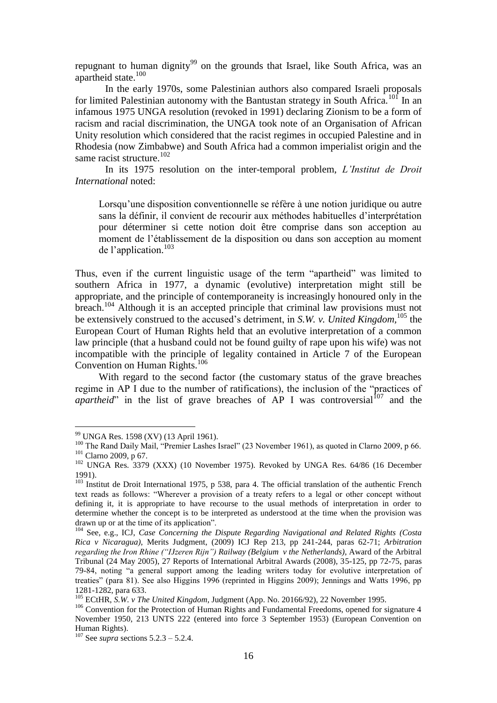repugnant to human dignity<sup>99</sup> on the grounds that Israel, like South Africa, was an apartheid state.<sup>100</sup>

In the early 1970s, some Palestinian authors also compared Israeli proposals for limited Palestinian autonomy with the Bantustan strategy in South Africa.<sup>101</sup> In an infamous 1975 UNGA resolution (revoked in 1991) declaring Zionism to be a form of racism and racial discrimination, the UNGA took note of an Organisation of African Unity resolution which considered that the racist regimes in occupied Palestine and in Rhodesia (now Zimbabwe) and South Africa had a common imperialist origin and the same racist structure.<sup>102</sup>

In its 1975 resolution on the inter-temporal problem, *L'Institut de Droit International* noted:

Lorsqu'une disposition conventionnelle se réfère à une notion juridique ou autre sans la définir, il convient de recourir aux méthodes habituelles d'interprétation pour déterminer si cette notion doit être comprise dans son acception au moment de l'établissement de la disposition ou dans son acception au moment de l'application. 103

Thus, even if the current linguistic usage of the term "apartheid" was limited to southern Africa in 1977, a dynamic (evolutive) interpretation might still be appropriate, and the principle of contemporaneity is increasingly honoured only in the breach.<sup>104</sup> Although it is an accepted principle that criminal law provisions must not be extensively construed to the accused's detriment, in *S.W. v. United Kingdom,*<sup>105</sup> the European Court of Human Rights held that an evolutive interpretation of a common law principle (that a husband could not be found guilty of rape upon his wife) was not incompatible with the principle of legality contained in Article 7 of the European Convention on Human Rights.<sup>106</sup>

With regard to the second factor (the customary status of the grave breaches regime in AP I due to the number of ratifications), the inclusion of the "practices of *apartheid*" in the list of grave breaches of AP I was controversial<sup>107</sup> and the

<sup>&</sup>lt;sup>99</sup> UNGA Res. 1598 (XV) (13 April 1961).

<sup>&</sup>lt;sup>100</sup> The Rand Daily Mail, "Premier Lashes Israel" (23 November 1961), as quoted in Clarno 2009, p 66. <sup>101</sup> Clarno 2009, p 67.

<sup>&</sup>lt;sup>102</sup> UNGA Res. 3379 (XXX) (10 November 1975). Revoked by UNGA Res. 64/86 (16 December 1991).

 $103$  Institut de Droit International 1975, p 538, para 4. The official translation of the authentic French text reads as follows: "Wherever a provision of a treaty refers to a legal or other concept without defining it, it is appropriate to have recourse to the usual methods of interpretation in order to determine whether the concept is to be interpreted as understood at the time when the provision was drawn up or at the time of its application".

<sup>104</sup> See, e.g., ICJ, *Case Concerning the Dispute Regarding Navigational and Related Rights (Costa Rica v Nicaragua)*, Merits Judgment, (2009) ICJ Rep 213, pp 241-244, paras 62-71; *Arbitration regarding the Iron Rhine ("IJzeren Rijn") Railway (Belgium v the Netherlands)*, Award of the Arbitral Tribunal (24 May 2005), 27 Reports of International Arbitral Awards (2008), 35-125, pp 72-75, paras 79-84, noting "a general support among the leading writers today for evolutive interpretation of treaties" (para 81). See also Higgins 1996 (reprinted in Higgins 2009); Jennings and Watts 1996, pp 1281-1282, para 633.

<sup>105</sup> ECtHR, *S.W. v The United Kingdom*, Judgment (App. No. 20166/92), 22 November 1995.

<sup>&</sup>lt;sup>106</sup> Convention for the Protection of Human Rights and Fundamental Freedoms, opened for signature 4 November 1950, 213 UNTS 222 (entered into force 3 September 1953) (European Convention on Human Rights).

<sup>107</sup> See *supra* sections 5.2.3 – 5.2.4.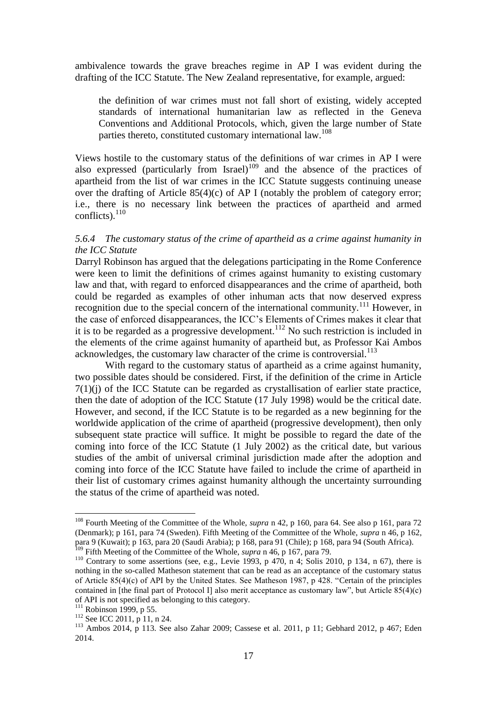ambivalence towards the grave breaches regime in AP I was evident during the drafting of the ICC Statute. The New Zealand representative, for example, argued:

the definition of war crimes must not fall short of existing, widely accepted standards of international humanitarian law as reflected in the Geneva Conventions and Additional Protocols, which, given the large number of State parties thereto, constituted customary international law.<sup>108</sup>

Views hostile to the customary status of the definitions of war crimes in AP I were also expressed (particularly from Israel)<sup>109</sup> and the absence of the practices of apartheid from the list of war crimes in the ICC Statute suggests continuing unease over the drafting of Article  $85(4)(c)$  of AP I (notably the problem of category error; i.e., there is no necessary link between the practices of apartheid and armed conflicts). $110$ 

#### *5.6.4 The customary status of the crime of apartheid as a crime against humanity in the ICC Statute*

Darryl Robinson has argued that the delegations participating in the Rome Conference were keen to limit the definitions of crimes against humanity to existing customary law and that, with regard to enforced disappearances and the crime of apartheid, both could be regarded as examples of other inhuman acts that now deserved express recognition due to the special concern of the international community.<sup>111</sup> However, in the case of enforced disappearances, the ICC's Elements of Crimes makes it clear that it is to be regarded as a progressive development.<sup>112</sup> No such restriction is included in the elements of the crime against humanity of apartheid but, as Professor Kai Ambos acknowledges, the customary law character of the crime is controversial.<sup>113</sup>

With regard to the customary status of apartheid as a crime against humanity, two possible dates should be considered. First, if the definition of the crime in Article 7(1)(j) of the ICC Statute can be regarded as crystallisation of earlier state practice, then the date of adoption of the ICC Statute (17 July 1998) would be the critical date. However, and second, if the ICC Statute is to be regarded as a new beginning for the worldwide application of the crime of apartheid (progressive development), then only subsequent state practice will suffice. It might be possible to regard the date of the coming into force of the ICC Statute (1 July 2002) as the critical date, but various studies of the ambit of universal criminal jurisdiction made after the adoption and coming into force of the ICC Statute have failed to include the crime of apartheid in their list of customary crimes against humanity although the uncertainty surrounding the status of the crime of apartheid was noted.

<sup>108</sup> Fourth Meeting of the Committee of the Whole, *supra* n 42, p 160, para 64. See also p 161, para 72 (Denmark); p 161, para 74 (Sweden). Fifth Meeting of the Committee of the Whole, *supra* n 46, p 162, para 9 (Kuwait); p 163, para 20 (Saudi Arabia); p 168, para 91 (Chile); p 168, para 94 (South Africa). <sup>109</sup> Fifth Meeting of the Committee of the Whole, *supra* n 46, p 167, para 79.

<sup>&</sup>lt;sup>110</sup> Contrary to some assertions (see, e.g., Levie 1993, p 470, n 4; Solis 2010, p 134, n 67), there is nothing in the so-called Matheson statement that can be read as an acceptance of the customary status of Article 85(4)(c) of API by the United States. See Matheson 1987, p 428. "Certain of the principles contained in [the final part of Protocol I] also merit acceptance as customary law", but Article  $85(4)(c)$ of API is not specified as belonging to this category.

 $111$  Robinson 1999, p 55.

 $112$  See ICC 2011, p 11, n 24.

<sup>113</sup> Ambos 2014, p 113. See also Zahar 2009; Cassese et al. 2011, p 11; Gebhard 2012, p 467; Eden 2014.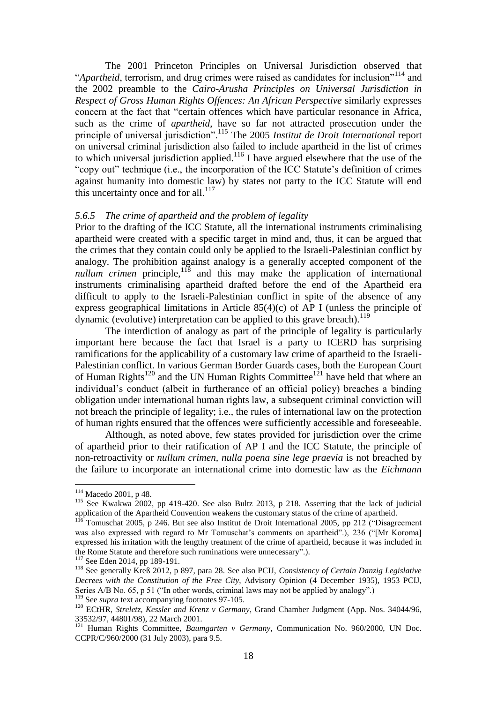The 2001 Princeton Principles on Universal Jurisdiction observed that "*Apartheid*, terrorism, and drug crimes were raised as candidates for inclusion"<sup>114</sup> and the 2002 preamble to the *Cairo-Arusha Principles on Universal Jurisdiction in Respect of Gross Human Rights Offences: An African Perspective* similarly expresses concern at the fact that "certain offences which have particular resonance in Africa, such as the crime of *apartheid*, have so far not attracted prosecution under the principle of universal jurisdiction".<sup>115</sup> The 2005 *Institut de Droit International* report on universal criminal jurisdiction also failed to include apartheid in the list of crimes to which universal jurisdiction applied.<sup>116</sup> I have argued elsewhere that the use of the "copy out" technique (i.e., the incorporation of the ICC Statute's definition of crimes against humanity into domestic law) by states not party to the ICC Statute will end this uncertainty once and for all. $^{117}$ 

#### *5.6.5 The crime of apartheid and the problem of legality*

Prior to the drafting of the ICC Statute, all the international instruments criminalising apartheid were created with a specific target in mind and, thus, it can be argued that the crimes that they contain could only be applied to the Israeli-Palestinian conflict by analogy. The prohibition against analogy is a generally accepted component of the *nullum crimen* principle,<sup>118</sup> and this may make the application of international instruments criminalising apartheid drafted before the end of the Apartheid era difficult to apply to the Israeli-Palestinian conflict in spite of the absence of any express geographical limitations in Article 85(4)(c) of AP I (unless the principle of dynamic (evolutive) interpretation can be applied to this grave breach).<sup>119</sup>

The interdiction of analogy as part of the principle of legality is particularly important here because the fact that Israel is a party to ICERD has surprising ramifications for the applicability of a customary law crime of apartheid to the Israeli-Palestinian conflict. In various German Border Guards cases, both the European Court of Human Rights<sup>120</sup> and the UN Human Rights Committee<sup>121</sup> have held that where an individual's conduct (albeit in furtherance of an official policy) breaches a binding obligation under international human rights law, a subsequent criminal conviction will not breach the principle of legality; i.e., the rules of international law on the protection of human rights ensured that the offences were sufficiently accessible and foreseeable.

Although, as noted above, few states provided for jurisdiction over the crime of apartheid prior to their ratification of AP I and the ICC Statute, the principle of non-retroactivity or *nullum crimen, nulla poena sine lege praevia* is not breached by the failure to incorporate an international crime into domestic law as the *Eichmann*

<sup>114</sup> Macedo 2001, p 48.

<sup>&</sup>lt;sup>115</sup> See Kwakwa 2002, pp 419-420. See also Bultz 2013, p 218. Asserting that the lack of judicial application of the Apartheid Convention weakens the customary status of the crime of apartheid.

 $1^{16}$  Tomuschat 2005, p 246. But see also Institut de Droit International 2005, pp 212 ("Disagreement" was also expressed with regard to Mr Tomuschat's comments on apartheid".), 236 ("[Mr Koroma] expressed his irritation with the lengthy treatment of the crime of apartheid, because it was included in the Rome Statute and therefore such ruminations were unnecessary".).

<sup>&</sup>lt;sup>117</sup> See Eden 2014, pp 189-191.

<sup>118</sup> See generally Kreß 2012, p 897, para 28. See also PCIJ, *Consistency of Certain Danzig Legislative Decrees with the Constitution of the Free City*, Advisory Opinion (4 December 1935), 1953 PCIJ, Series A/B No. 65, p 51 ("In other words, criminal laws may not be applied by analogy".) <sup>119</sup> See *supra* text accompanying footnotes 97-105.

<sup>120</sup> ECtHR, *Streletz, Kessler and Krenz v Germany*, Grand Chamber Judgment (App. Nos. 34044/96, 33532/97, 44801/98), 22 March 2001.

<sup>121</sup> Human Rights Committee, *Baumgarten v Germany*, Communication No. 960/2000, UN Doc. CCPR/C/960/2000 (31 July 2003), para 9.5.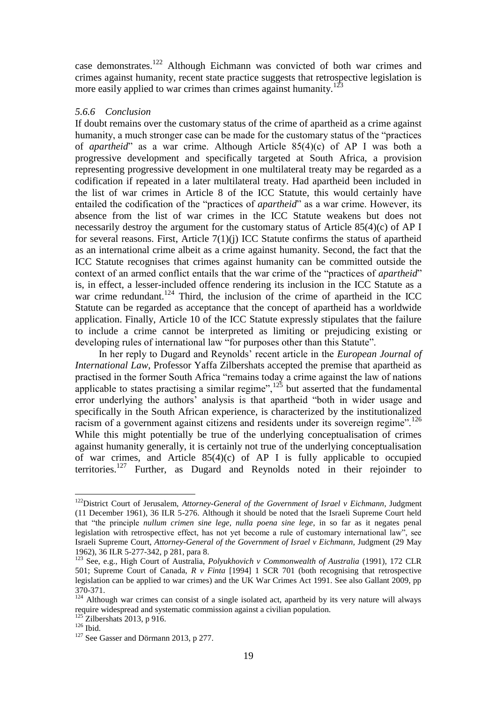case demonstrates.<sup>122</sup> Although Eichmann was convicted of both war crimes and crimes against humanity, recent state practice suggests that retrospective legislation is more easily applied to war crimes than crimes against humanity.<sup>123</sup>

#### *5.6.6 Conclusion*

If doubt remains over the customary status of the crime of apartheid as a crime against humanity, a much stronger case can be made for the customary status of the "practices of *apartheid*" as a war crime. Although Article 85(4)(c) of AP I was both a progressive development and specifically targeted at South Africa, a provision representing progressive development in one multilateral treaty may be regarded as a codification if repeated in a later multilateral treaty. Had apartheid been included in the list of war crimes in Article 8 of the ICC Statute, this would certainly have entailed the codification of the "practices of *apartheid*" as a war crime. However, its absence from the list of war crimes in the ICC Statute weakens but does not necessarily destroy the argument for the customary status of Article 85(4)(c) of AP I for several reasons. First, Article  $7(1)(i)$  ICC Statute confirms the status of apartheid as an international crime albeit as a crime against humanity. Second, the fact that the ICC Statute recognises that crimes against humanity can be committed outside the context of an armed conflict entails that the war crime of the "practices of *apartheid*" is, in effect, a lesser-included offence rendering its inclusion in the ICC Statute as a war crime redundant.<sup>124</sup> Third, the inclusion of the crime of apartheid in the ICC Statute can be regarded as acceptance that the concept of apartheid has a worldwide application. Finally, Article 10 of the ICC Statute expressly stipulates that the failure to include a crime cannot be interpreted as limiting or prejudicing existing or developing rules of international law "for purposes other than this Statute".

In her reply to Dugard and Reynolds' recent article in the *European Journal of International Law*, Professor Yaffa Zilbershats accepted the premise that apartheid as practised in the former South Africa "remains today a crime against the law of nations applicable to states practising a similar regime", $125$  but asserted that the fundamental error underlying the authors' analysis is that apartheid "both in wider usage and specifically in the South African experience, is characterized by the institutionalized racism of a government against citizens and residents under its sovereign regime".<sup>126</sup> While this might potentially be true of the underlying conceptualisation of crimes against humanity generally, it is certainly not true of the underlying conceptualisation of war crimes, and Article  $85(4)(c)$  of AP I is fully applicable to occupied territories.<sup>127</sup> Further, as Dugard and Reynolds noted in their rejoinder to

<u>.</u>

<sup>122</sup>District Court of Jerusalem, *Attorney-General of the Government of Israel v Eichmann*, Judgment (11 December 1961), 36 ILR 5-276. Although it should be noted that the Israeli Supreme Court held that "the principle *nullum crimen sine lege, nulla poena sine lege*, in so far as it negates penal legislation with retrospective effect, has not yet become a rule of customary international law", see Israeli Supreme Court, *Attorney-General of the Government of Israel v Eichmann,* Judgment (29 May 1962), 36 ILR 5-277-342, p 281, para 8.

<sup>123</sup> See, e.g., High Court of Australia, *Polyukhovich v Commonwealth of Australia* (1991), 172 CLR 501; Supreme Court of Canada, *R v Finta* [1994] 1 SCR 701 (both recognising that retrospective legislation can be applied to war crimes) and the UK War Crimes Act 1991. See also Gallant 2009, pp 370-371.

<sup>&</sup>lt;sup>124</sup> Although war crimes can consist of a single isolated act, apartheid by its very nature will always require widespread and systematic commission against a civilian population.

 $Zilbershats$  2013, p 916.

 $126$  Ibid.

<sup>&</sup>lt;sup>127</sup> See Gasser and Dörmann 2013, p 277.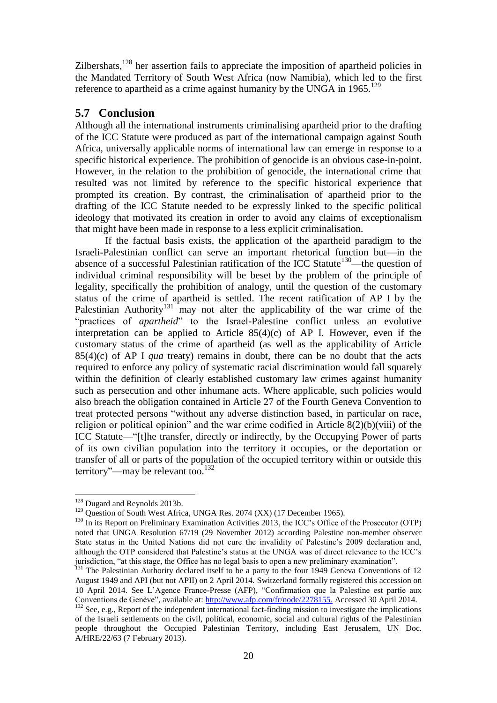Zilbershats,<sup>128</sup> her assertion fails to appreciate the imposition of apartheid policies in the Mandated Territory of South West Africa (now Namibia), which led to the first reference to apartheid as a crime against humanity by the UNGA in  $1965$ <sup>129</sup>

## **5.7 Conclusion**

Although all the international instruments criminalising apartheid prior to the drafting of the ICC Statute were produced as part of the international campaign against South Africa, universally applicable norms of international law can emerge in response to a specific historical experience. The prohibition of genocide is an obvious case-in-point. However, in the relation to the prohibition of genocide, the international crime that resulted was not limited by reference to the specific historical experience that prompted its creation. By contrast, the criminalisation of apartheid prior to the drafting of the ICC Statute needed to be expressly linked to the specific political ideology that motivated its creation in order to avoid any claims of exceptionalism that might have been made in response to a less explicit criminalisation.

If the factual basis exists, the application of the apartheid paradigm to the Israeli-Palestinian conflict can serve an important rhetorical function but—in the absence of a successful Palestinian ratification of the ICC Statute<sup>130</sup>—the question of individual criminal responsibility will be beset by the problem of the principle of legality, specifically the prohibition of analogy, until the question of the customary status of the crime of apartheid is settled. The recent ratification of AP I by the Palestinian Authority<sup>131</sup> may not alter the applicability of the war crime of the "practices of *apartheid*" to the Israel-Palestine conflict unless an evolutive interpretation can be applied to Article  $85(4)(c)$  of AP I. However, even if the customary status of the crime of apartheid (as well as the applicability of Article 85(4)(c) of AP I *qua* treaty) remains in doubt, there can be no doubt that the acts required to enforce any policy of systematic racial discrimination would fall squarely within the definition of clearly established customary law crimes against humanity such as persecution and other inhumane acts. Where applicable, such policies would also breach the obligation contained in Article 27 of the Fourth Geneva Convention to treat protected persons "without any adverse distinction based, in particular on race, religion or political opinion" and the war crime codified in Article 8(2)(b)(viii) of the ICC Statute—"[t]he transfer, directly or indirectly, by the Occupying Power of parts of its own civilian population into the territory it occupies, or the deportation or transfer of all or parts of the population of the occupied territory within or outside this territory"—may be relevant too. $132$ 

<u>.</u>

<sup>&</sup>lt;sup>128</sup> Dugard and Reynolds 2013b.

<sup>&</sup>lt;sup>129</sup> Question of South West Africa, UNGA Res. 2074 (XX) (17 December 1965).

 $130$  In its Report on Preliminary Examination Activities 2013, the ICC's Office of the Prosecutor (OTP) noted that UNGA Resolution 67/19 (29 November 2012) according Palestine non-member observer State status in the United Nations did not cure the invalidity of Palestine's 2009 declaration and, although the OTP considered that Palestine's status at the UNGA was of direct relevance to the ICC's jurisdiction, "at this stage, the Office has no legal basis to open a new preliminary examination".

<sup>&</sup>lt;sup>131</sup> The Palestinian Authority declared itself to be a party to the four 1949 Geneva Conventions of 12 August 1949 and API (but not APII) on 2 April 2014. Switzerland formally registered this accession on 10 April 2014. See L'Agence France-Presse (AFP), "Confirmation que la Palestine est partie aux Conventions de Genève", available at: [http://www.afp.com/fr/node/2278155.](http://www.afp.com/fr/node/2278155) Accessed 30 April 2014.  $\frac{132}{132}$  See, e.g., Report of the independent international fact-finding mission to investigate the implications

of the Israeli settlements on the civil, political, economic, social and cultural rights of the Palestinian people throughout the Occupied Palestinian Territory, including East Jerusalem, UN Doc. A/HRE/22/63 (7 February 2013).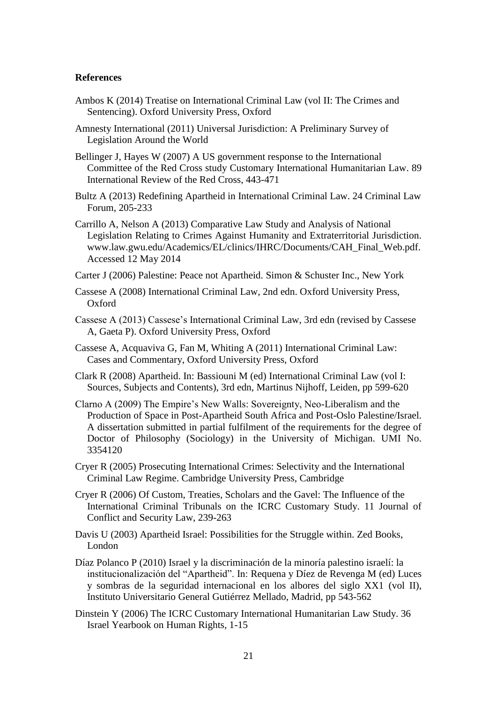#### **References**

- Ambos K (2014) Treatise on International Criminal Law (vol II: The Crimes and Sentencing). Oxford University Press, Oxford
- Amnesty International (2011) Universal Jurisdiction: A Preliminary Survey of Legislation Around the World
- Bellinger J, Hayes W (2007) A US government response to the International Committee of the Red Cross study Customary International Humanitarian Law. 89 International Review of the Red Cross, 443-471
- Bultz A (2013) Redefining Apartheid in International Criminal Law. 24 Criminal Law Forum, 205-233
- Carrillo A, Nelson A (2013) Comparative Law Study and Analysis of National Legislation Relating to Crimes Against Humanity and Extraterritorial Jurisdiction. www.law.gwu.edu/Academics/EL/clinics/IHRC/Documents/CAH\_Final\_Web.pdf. Accessed 12 May 2014
- Carter J (2006) Palestine: Peace not Apartheid. Simon & Schuster Inc., New York
- Cassese A (2008) International Criminal Law, 2nd edn. Oxford University Press, Oxford
- Cassese A (2013) Cassese's International Criminal Law, 3rd edn (revised by Cassese A, Gaeta P). Oxford University Press, Oxford
- Cassese A, Acquaviva G, Fan M, Whiting A (2011) International Criminal Law: Cases and Commentary, Oxford University Press, Oxford
- Clark R (2008) Apartheid. In: Bassiouni M (ed) International Criminal Law (vol I: Sources, Subjects and Contents), 3rd edn, Martinus Nijhoff, Leiden, pp 599-620
- Clarno A (2009) The Empire's New Walls: Sovereignty, Neo-Liberalism and the Production of Space in Post-Apartheid South Africa and Post-Oslo Palestine/Israel. A dissertation submitted in partial fulfilment of the requirements for the degree of Doctor of Philosophy (Sociology) in the University of Michigan. UMI No. 3354120
- Cryer R (2005) Prosecuting International Crimes: Selectivity and the International Criminal Law Regime. Cambridge University Press, Cambridge
- Cryer R (2006) Of Custom, Treaties, Scholars and the Gavel: The Influence of the International Criminal Tribunals on the ICRC Customary Study. 11 Journal of Conflict and Security Law, 239-263
- Davis U (2003) Apartheid Israel: Possibilities for the Struggle within. Zed Books, London
- Díaz Polanco P (2010) Israel y la discriminación de la minoría palestino israelí: la institucionalización del "Apartheid". In: Requena y Díez de Revenga M (ed) Luces y sombras de la seguridad internacional en los albores del siglo XX1 (vol II), Instituto Universitario General Gutiérrez Mellado, Madrid, pp 543-562
- Dinstein Y (2006) The ICRC Customary International Humanitarian Law Study. 36 Israel Yearbook on Human Rights, 1-15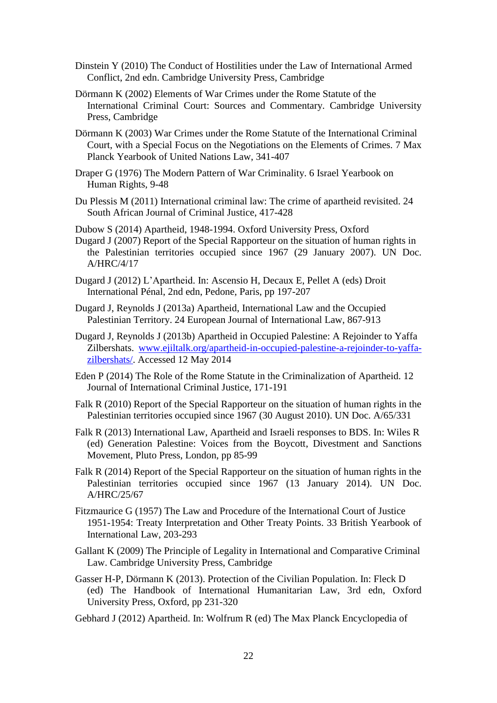- Dinstein Y (2010) The Conduct of Hostilities under the Law of International Armed Conflict, 2nd edn. Cambridge University Press, Cambridge
- Dörmann K (2002) Elements of War Crimes under the Rome Statute of the International Criminal Court: Sources and Commentary. Cambridge University Press, Cambridge
- Dörmann K (2003) War Crimes under the Rome Statute of the International Criminal Court, with a Special Focus on the Negotiations on the Elements of Crimes. 7 Max Planck Yearbook of United Nations Law, 341-407
- Draper G (1976) The Modern Pattern of War Criminality. 6 Israel Yearbook on Human Rights, 9-48
- Du Plessis M (2011) International criminal law: The crime of apartheid revisited. 24 South African Journal of Criminal Justice, 417-428
- Dubow S (2014) Apartheid, 1948-1994. Oxford University Press, Oxford Dugard J (2007) Report of the Special Rapporteur on the situation of human rights in the Palestinian territories occupied since 1967 (29 January 2007). UN Doc. A/HRC/4/17
- Dugard J (2012) L'Apartheid. In: Ascensio H, Decaux E, Pellet A (eds) Droit International Pénal, 2nd edn, Pedone, Paris, pp 197-207
- Dugard J, Reynolds J (2013a) Apartheid, International Law and the Occupied Palestinian Territory. 24 European Journal of International Law, 867-913
- Dugard J, Reynolds J (2013b) Apartheid in Occupied Palestine: A Rejoinder to Yaffa Zilbershats. [www.ejiltalk.org/apartheid-in-occupied-palestine-a-rejoinder-to-yaffa](http://www.ejiltalk.org/apartheid-in-occupied-palestine-a-rejoinder-to-yaffa-zilbershats/)[zilbershats/.](http://www.ejiltalk.org/apartheid-in-occupied-palestine-a-rejoinder-to-yaffa-zilbershats/) Accessed 12 May 2014
- Eden P (2014) The Role of the Rome Statute in the Criminalization of Apartheid. 12 Journal of International Criminal Justice, 171-191
- Falk R (2010) Report of the Special Rapporteur on the situation of human rights in the Palestinian territories occupied since 1967 (30 August 2010). UN Doc. A/65/331
- Falk R (2013) International Law, Apartheid and Israeli responses to BDS. In: Wiles R (ed) Generation Palestine: Voices from the Boycott, Divestment and Sanctions Movement, Pluto Press, London, pp 85-99
- Falk R (2014) Report of the Special Rapporteur on the situation of human rights in the Palestinian territories occupied since 1967 (13 January 2014). UN Doc. A/HRC/25/67
- Fitzmaurice G (1957) The Law and Procedure of the International Court of Justice 1951-1954: Treaty Interpretation and Other Treaty Points. 33 British Yearbook of International Law, 203-293
- Gallant K (2009) The Principle of Legality in International and Comparative Criminal Law. Cambridge University Press, Cambridge
- Gasser H-P, Dörmann K (2013). Protection of the Civilian Population. In: Fleck D (ed) The Handbook of International Humanitarian Law, 3rd edn, Oxford University Press, Oxford, pp 231-320
- Gebhard J (2012) Apartheid. In: Wolfrum R (ed) The Max Planck Encyclopedia of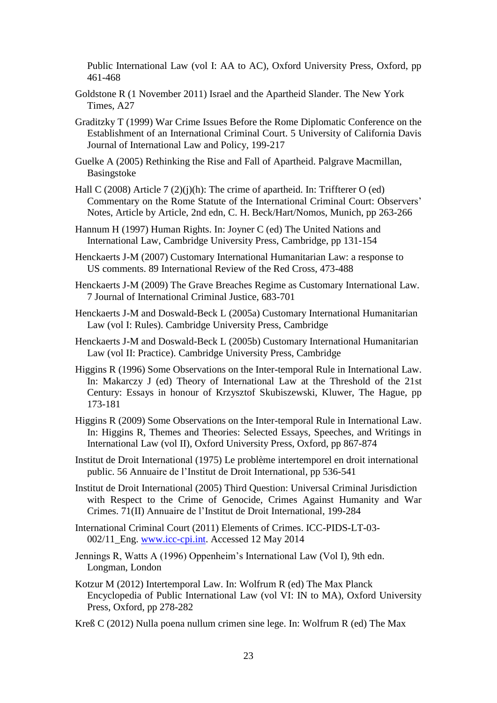Public International Law (vol I: AA to AC), Oxford University Press, Oxford, pp 461-468

- Goldstone R (1 November 2011) Israel and the Apartheid Slander. The New York Times, A27
- Graditzky T (1999) War Crime Issues Before the Rome Diplomatic Conference on the Establishment of an International Criminal Court. 5 University of California Davis Journal of International Law and Policy, 199-217
- Guelke A (2005) Rethinking the Rise and Fall of Apartheid. Palgrave Macmillan, Basingstoke
- Hall C (2008) Article 7 (2)(j)(h): The crime of apartheid. In: Triffterer O (ed) Commentary on the Rome Statute of the International Criminal Court: Observers' Notes, Article by Article, 2nd edn, C. H. Beck/Hart/Nomos, Munich, pp 263-266
- Hannum H (1997) Human Rights. In: Joyner C (ed) The United Nations and International Law, Cambridge University Press, Cambridge, pp 131-154
- Henckaerts J-M (2007) Customary International Humanitarian Law: a response to US comments. 89 International Review of the Red Cross, 473-488
- Henckaerts J-M (2009) The Grave Breaches Regime as Customary International Law. 7 Journal of International Criminal Justice, 683-701
- Henckaerts J-M and Doswald-Beck L (2005a) Customary International Humanitarian Law (vol I: Rules). Cambridge University Press, Cambridge
- Henckaerts J-M and Doswald-Beck L (2005b) Customary International Humanitarian Law (vol II: Practice). Cambridge University Press, Cambridge
- Higgins R (1996) Some Observations on the Inter-temporal Rule in International Law. In: Makarczy J (ed) Theory of International Law at the Threshold of the 21st Century: Essays in honour of Krzysztof Skubiszewski, Kluwer, The Hague, pp 173-181
- Higgins R (2009) Some Observations on the Inter-temporal Rule in International Law. In: Higgins R, Themes and Theories: Selected Essays, Speeches, and Writings in International Law (vol II), Oxford University Press, Oxford, pp 867-874

Institut de Droit International (1975) Le problème intertemporel en droit international public. 56 Annuaire de l'Institut de Droit International, pp 536-541

- Institut de Droit International (2005) Third Question: Universal Criminal Jurisdiction with Respect to the Crime of Genocide, Crimes Against Humanity and War Crimes. 71(II) Annuaire de l'Institut de Droit International, 199-284
- International Criminal Court (2011) Elements of Crimes. ICC-PIDS-LT-03- 002/11\_Eng. [www.icc-cpi.int.](http://www.icc-cpi.int/) Accessed 12 May 2014
- Jennings R, Watts A (1996) Oppenheim's International Law (Vol I), 9th edn. Longman, London
- Kotzur M (2012) Intertemporal Law. In: Wolfrum R (ed) The Max Planck Encyclopedia of Public International Law (vol VI: IN to MA), Oxford University Press, Oxford, pp 278-282
- Kreß C (2012) Nulla poena nullum crimen sine lege. In: Wolfrum R (ed) The Max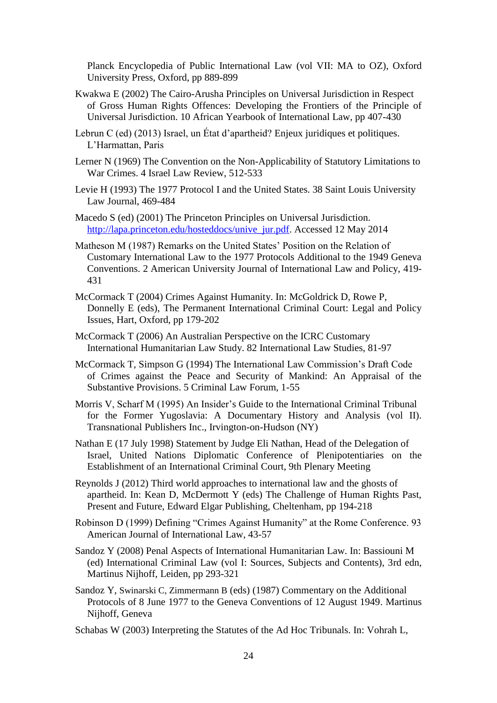Planck Encyclopedia of Public International Law (vol VII: MA to OZ), Oxford University Press, Oxford, pp 889-899

- Kwakwa E (2002) The Cairo-Arusha Principles on Universal Jurisdiction in Respect of Gross Human Rights Offences: Developing the Frontiers of the Principle of Universal Jurisdiction. 10 African Yearbook of International Law, pp 407-430
- Lebrun C (ed) (2013) Israel, un État d'apartheid? Enjeux juridiques et politiques. L'Harmattan, Paris
- Lerner N (1969) The Convention on the Non-Applicability of Statutory Limitations to War Crimes. 4 Israel Law Review, 512-533
- Levie H (1993) The 1977 Protocol I and the United States. 38 Saint Louis University Law Journal, 469-484
- Macedo S (ed) (2001) The Princeton Principles on Universal Jurisdiction. [http://lapa.princeton.edu/hosteddocs/unive\\_jur.pdf.](http://lapa.princeton.edu/hosteddocs/unive_jur.pdf) Accessed 12 May 2014
- Matheson M (1987) Remarks on the United States' Position on the Relation of Customary International Law to the 1977 Protocols Additional to the 1949 Geneva Conventions. 2 American University Journal of International Law and Policy, 419- 431
- McCormack T (2004) Crimes Against Humanity. In: McGoldrick D, Rowe P, Donnelly E (eds), The Permanent International Criminal Court: Legal and Policy Issues, Hart, Oxford, pp 179-202
- McCormack T (2006) An Australian Perspective on the ICRC Customary International Humanitarian Law Study. 82 International Law Studies, 81-97
- McCormack T, Simpson G (1994) The International Law Commission's Draft Code of Crimes against the Peace and Security of Mankind: An Appraisal of the Substantive Provisions. 5 Criminal Law Forum, 1-55
- Morris V, Scharf M (1995) An Insider's Guide to the International Criminal Tribunal for the Former Yugoslavia: A Documentary History and Analysis (vol II). Transnational Publishers Inc., Irvington-on-Hudson (NY)
- Nathan E (17 July 1998) Statement by Judge Eli Nathan, Head of the Delegation of Israel, United Nations Diplomatic Conference of Plenipotentiaries on the Establishment of an International Criminal Court, 9th Plenary Meeting
- Reynolds J (2012) Third world approaches to international law and the ghosts of apartheid. In: Kean D, McDermott Y (eds) The Challenge of Human Rights Past, Present and Future, Edward Elgar Publishing, Cheltenham, pp 194-218
- Robinson D (1999) Defining "Crimes Against Humanity" at the Rome Conference. 93 American Journal of International Law, 43-57
- Sandoz Y (2008) Penal Aspects of International Humanitarian Law. In: Bassiouni M (ed) International Criminal Law (vol I: Sources, Subjects and Contents), 3rd edn, Martinus Nijhoff, Leiden, pp 293-321
- Sandoz Y, Swinarski C, Zimmermann B (eds) (1987) Commentary on the Additional Protocols of 8 June 1977 to the Geneva Conventions of 12 August 1949. Martinus Nijhoff, Geneva
- Schabas W (2003) Interpreting the Statutes of the Ad Hoc Tribunals. In: Vohrah L,